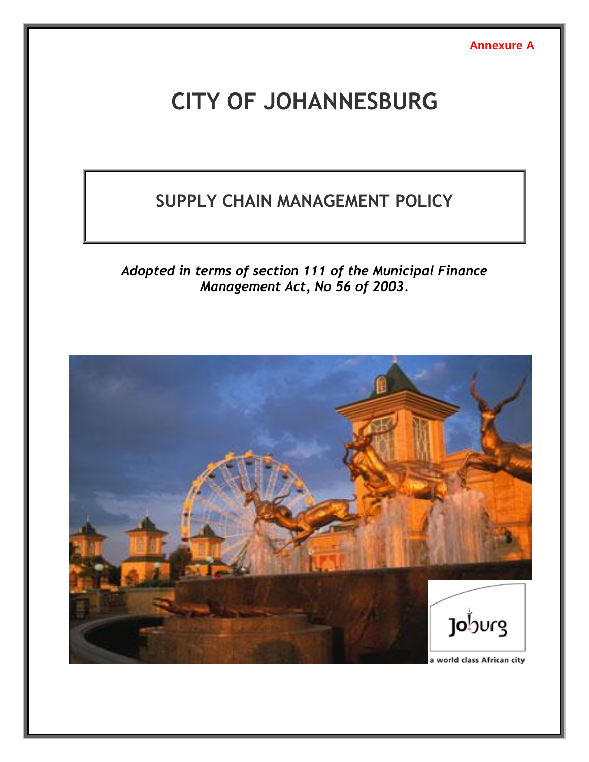**Annexure A**

# **CITY OF JOHANNESBURG**

# **SUPPLY CHAIN MANAGEMENT POLICY**

*Adopted in terms of section 111 of the Municipal Finance Management Act, No 56 of 2003.*

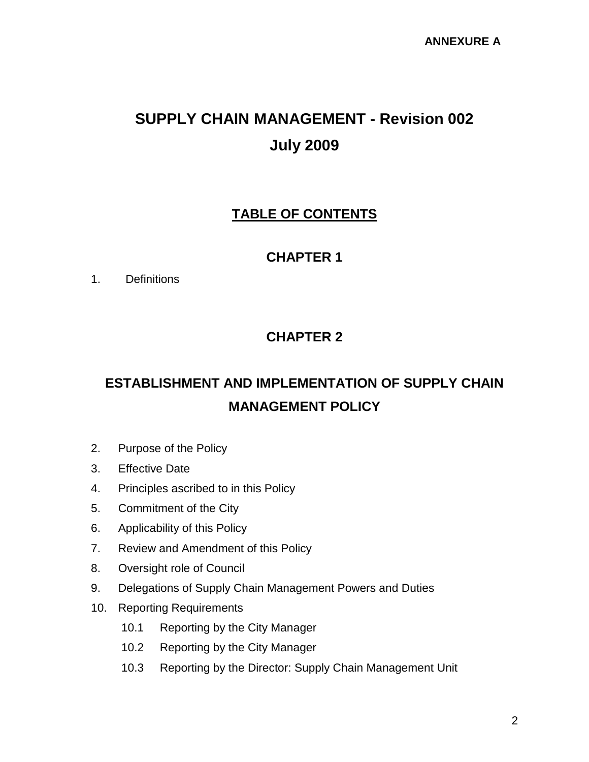# **SUPPLY CHAIN MANAGEMENT - Revision 002 July 2009**

# **TABLE OF CONTENTS**

# **CHAPTER 1**

1. Definitions

# **CHAPTER 2**

# **ESTABLISHMENT AND IMPLEMENTATION OF SUPPLY CHAIN MANAGEMENT POLICY**

- 2. Purpose of the Policy
- 3. Effective Date
- 4. Principles ascribed to in this Policy
- 5. Commitment of the City
- 6. Applicability of this Policy
- 7. Review and Amendment of this Policy
- 8. Oversight role of Council
- 9. Delegations of Supply Chain Management Powers and Duties
- 10. Reporting Requirements
	- 10.1 Reporting by the City Manager
	- 10.2 Reporting by the City Manager
	- 10.3 Reporting by the Director: Supply Chain Management Unit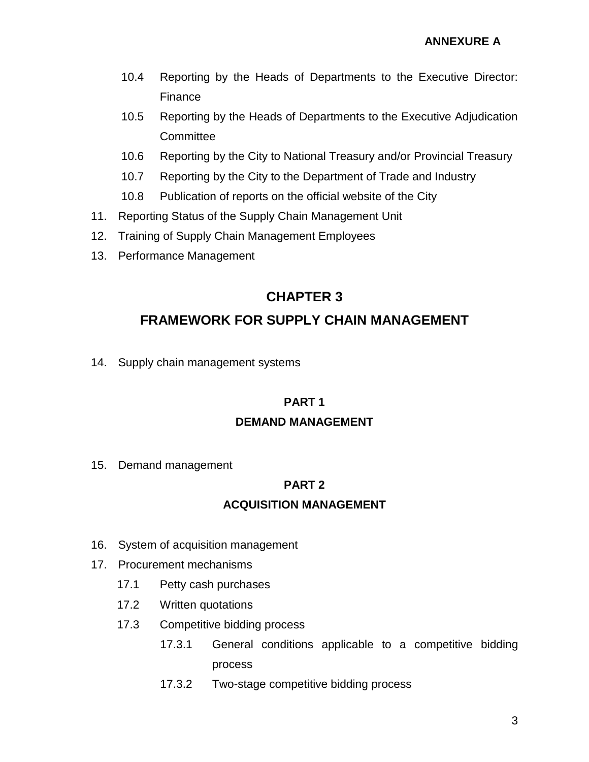- 10.4 Reporting by the Heads of Departments to the Executive Director: Finance
- 10.5 Reporting by the Heads of Departments to the Executive Adjudication **Committee**
- 10.6 Reporting by the City to National Treasury and/or Provincial Treasury
- 10.7 Reporting by the City to the Department of Trade and Industry
- 10.8 Publication of reports on the official website of the City
- 11. Reporting Status of the Supply Chain Management Unit
- 12. Training of Supply Chain Management Employees
- 13. Performance Management

# **CHAPTER 3**

## **FRAMEWORK FOR SUPPLY CHAIN MANAGEMENT**

14. Supply chain management systems

#### **PART 1**

#### **DEMAND MANAGEMENT**

15. Demand management

### **PART 2**

### **ACQUISITION MANAGEMENT**

- 16. System of acquisition management
- 17. Procurement mechanisms
	- 17.1 Petty cash purchases
	- 17.2 Written quotations
	- 17.3 Competitive bidding process
		- 17.3.1 General conditions applicable to a competitive bidding process
		- 17.3.2 Two-stage competitive bidding process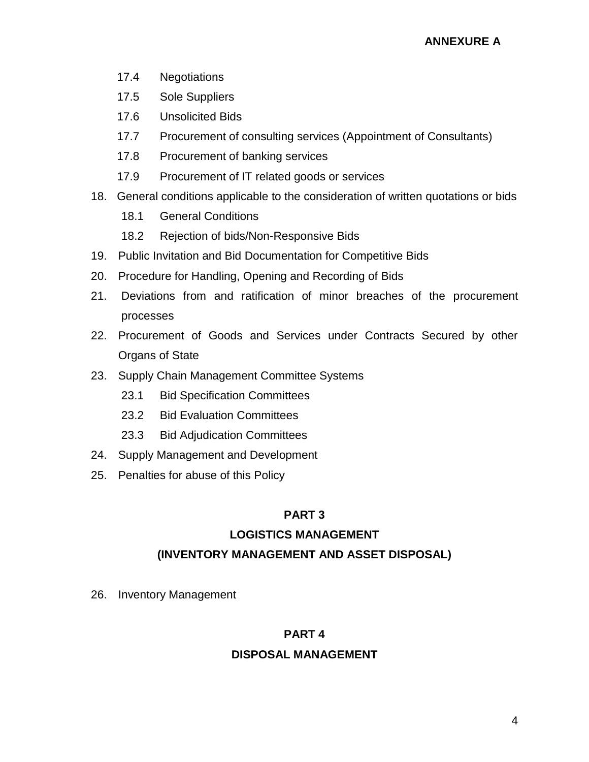- 17.4 Negotiations
- 17.5 Sole Suppliers
- 17.6 Unsolicited Bids
- 17.7 Procurement of consulting services (Appointment of Consultants)
- 17.8 Procurement of banking services
- 17.9 Procurement of IT related goods or services
- 18. General conditions applicable to the consideration of written quotations or bids
	- 18.1 General Conditions
	- 18.2 Rejection of bids/Non-Responsive Bids
- 19. Public Invitation and Bid Documentation for Competitive Bids
- 20. Procedure for Handling, Opening and Recording of Bids
- 21. Deviations from and ratification of minor breaches of the procurement processes
- 22. Procurement of Goods and Services under Contracts Secured by other Organs of State
- 23. Supply Chain Management Committee Systems
	- 23.1 Bid Specification Committees
	- 23.2 Bid Evaluation Committees
	- 23.3 Bid Adjudication Committees
- 24. Supply Management and Development
- 25. Penalties for abuse of this Policy

### **PART 3**

### **LOGISTICS MANAGEMENT**

### **(INVENTORY MANAGEMENT AND ASSET DISPOSAL)**

26. Inventory Management

#### **PART 4**

#### **DISPOSAL MANAGEMENT**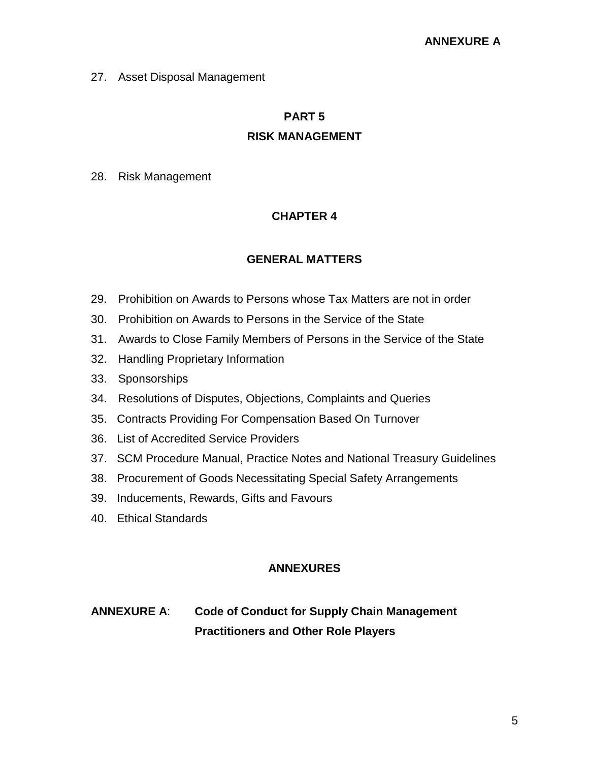27. Asset Disposal Management

#### **PART 5**

#### **RISK MANAGEMENT**

28. Risk Management

#### **CHAPTER 4**

#### **GENERAL MATTERS**

- 29. Prohibition on Awards to Persons whose Tax Matters are not in order
- 30. Prohibition on Awards to Persons in the Service of the State
- 31. Awards to Close Family Members of Persons in the Service of the State
- 32. Handling Proprietary Information
- 33. Sponsorships
- 34. Resolutions of Disputes, Objections, Complaints and Queries
- 35. Contracts Providing For Compensation Based On Turnover
- 36. List of Accredited Service Providers
- 37. SCM Procedure Manual, Practice Notes and National Treasury Guidelines
- 38. Procurement of Goods Necessitating Special Safety Arrangements
- 39. Inducements, Rewards, Gifts and Favours
- 40. Ethical Standards

#### **ANNEXURES**

# **ANNEXURE A**: **Code of Conduct for Supply Chain Management Practitioners and Other Role Players**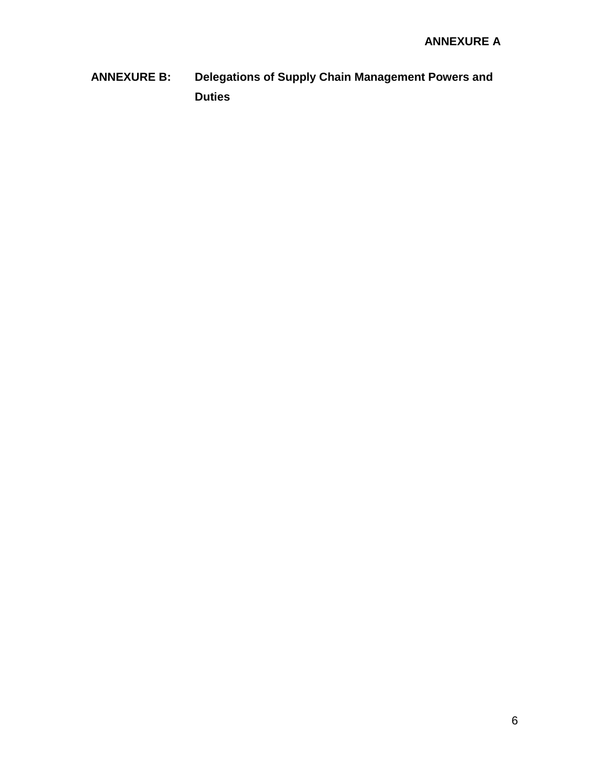**ANNEXURE B: Delegations of Supply Chain Management Powers and Duties**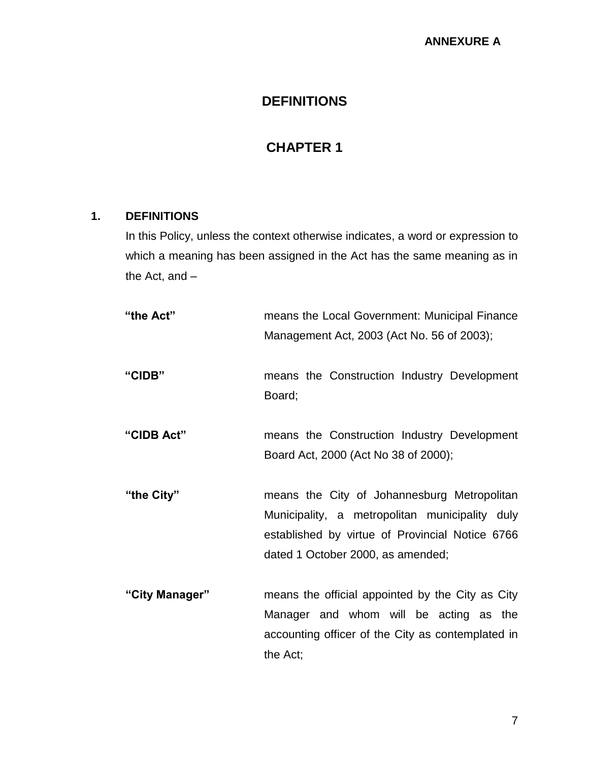## **DEFINITIONS**

# **CHAPTER 1**

### **1. DEFINITIONS**

In this Policy, unless the context otherwise indicates, a word or expression to which a meaning has been assigned in the Act has the same meaning as in the Act, and –

| "the Act"      | means the Local Government: Municipal Finance<br>Management Act, 2003 (Act No. 56 of 2003);                                                                                           |
|----------------|---------------------------------------------------------------------------------------------------------------------------------------------------------------------------------------|
| "CIDB"         | means the Construction Industry Development<br>Board;                                                                                                                                 |
| "CIDB Act"     | means the Construction Industry Development<br>Board Act, 2000 (Act No 38 of 2000);                                                                                                   |
| "the City"     | means the City of Johannesburg Metropolitan<br>Municipality, a metropolitan municipality duly<br>established by virtue of Provincial Notice 6766<br>dated 1 October 2000, as amended; |
| "City Manager" | means the official appointed by the City as City<br>Manager and whom will be acting as the<br>accounting officer of the City as contemplated in<br>the Act;                           |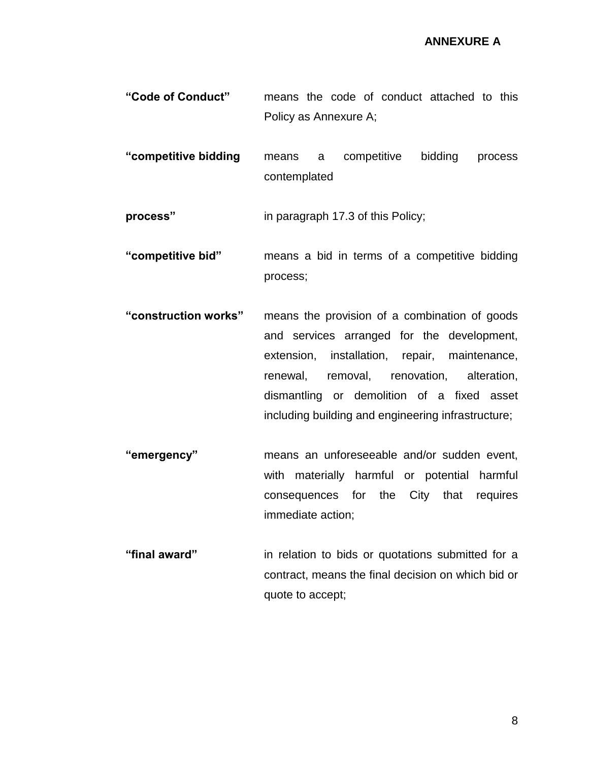**"Code of Conduct"** means the code of conduct attached to this Policy as Annexure A;

**"competitive bidding** means a competitive bidding process contemplated

**process"** in paragraph 17.3 of this Policy;

**"competitive bid"** means a bid in terms of a competitive bidding process;

- **"construction works"** means the provision of a combination of goods and services arranged for the development, extension, installation, repair, maintenance, renewal, removal, renovation, alteration, dismantling or demolition of a fixed asset including building and engineering infrastructure;
- **"emergency"** means an unforeseeable and/or sudden event, with materially harmful or potential harmful consequences for the City that requires immediate action;
- **"final award"** in relation to bids or quotations submitted for a contract, means the final decision on which bid or quote to accept;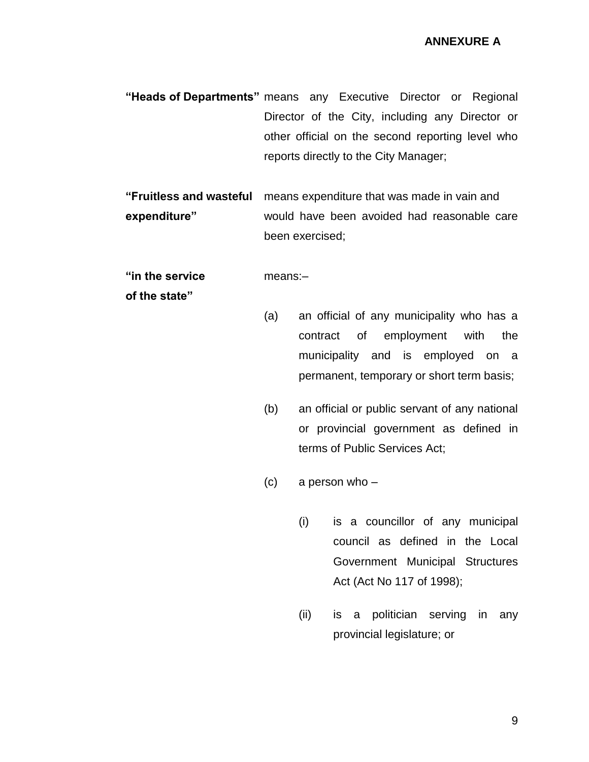**"Heads of Departments"** means any Executive Director or Regional Director of the City, including any Director or other official on the second reporting level who reports directly to the City Manager;

**"Fruitless and wasteful** means expenditure that was made in vain and **expenditure"** would have been avoided had reasonable care been exercised;

#### **"in the service** means:–

**of the state"**

- (a) an official of any municipality who has a contract of employment with the municipality and is employed on a permanent, temporary or short term basis;
- (b) an official or public servant of any national or provincial government as defined in terms of Public Services Act;
- (c) a person who
	- (i) is a councillor of any municipal council as defined in the Local Government Municipal Structures Act (Act No 117 of 1998);
	- (ii) is a politician serving in any provincial legislature; or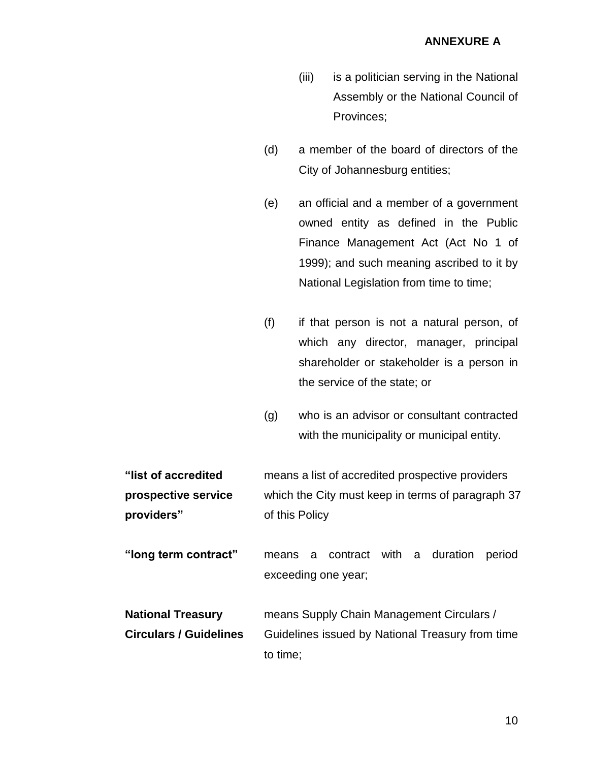- (iii) is a politician serving in the National Assembly or the National Council of Provinces;
- (d) a member of the board of directors of the City of Johannesburg entities;
- (e) an official and a member of a government owned entity as defined in the Public Finance Management Act (Act No 1 of 1999); and such meaning ascribed to it by National Legislation from time to time;
- (f) if that person is not a natural person, of which any director, manager, principal shareholder or stakeholder is a person in the service of the state; or
- (g) who is an advisor or consultant contracted with the municipality or municipal entity.

**"list of accredited** means a list of accredited prospective providers **prospective service** which the City must keep in terms of paragraph 37 **providers"** of this Policy

**"long term contract"** means a contract with a duration period exceeding one year;

**National Treasury** means Supply Chain Management Circulars / **Circulars / Guidelines** Guidelines issued by National Treasury from time to time;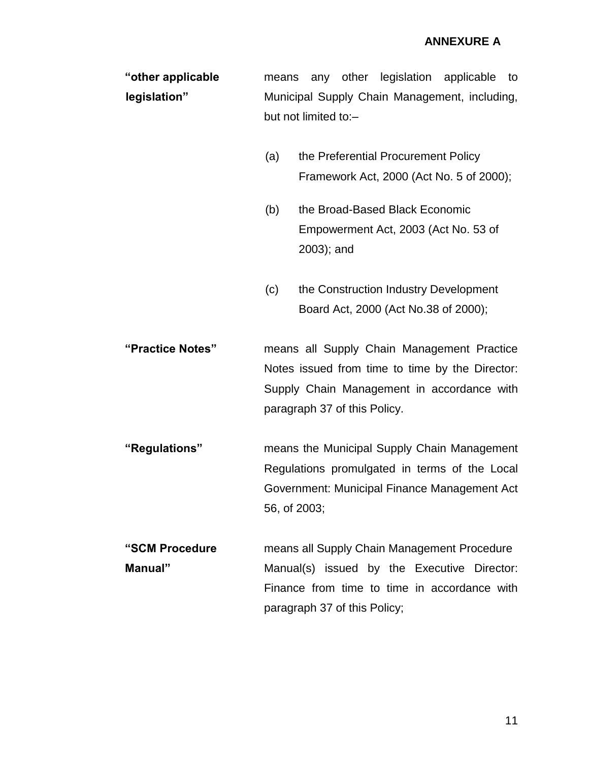| "other applicable" |                                               |  |  |  | means any other legislation applicable to |  |
|--------------------|-----------------------------------------------|--|--|--|-------------------------------------------|--|
| legislation"       | Municipal Supply Chain Management, including, |  |  |  |                                           |  |
|                    | but not limited to:-                          |  |  |  |                                           |  |

- (a) the Preferential Procurement Policy Framework Act, 2000 (Act No. 5 of 2000);
- (b) the Broad-Based Black Economic Empowerment Act, 2003 (Act No. 53 of 2003); and
- (c) the Construction Industry Development Board Act, 2000 (Act No.38 of 2000);

**"Practice Notes"** means all Supply Chain Management Practice Notes issued from time to time by the Director: Supply Chain Management in accordance with paragraph 37 of this Policy.

**"Regulations"** means the Municipal Supply Chain Management Regulations promulgated in terms of the Local Government: Municipal Finance Management Act 56, of 2003;

**"SCM Procedure** means all Supply Chain Management Procedure **Manual"** Manual(s) issued by the Executive Director: Finance from time to time in accordance with paragraph 37 of this Policy;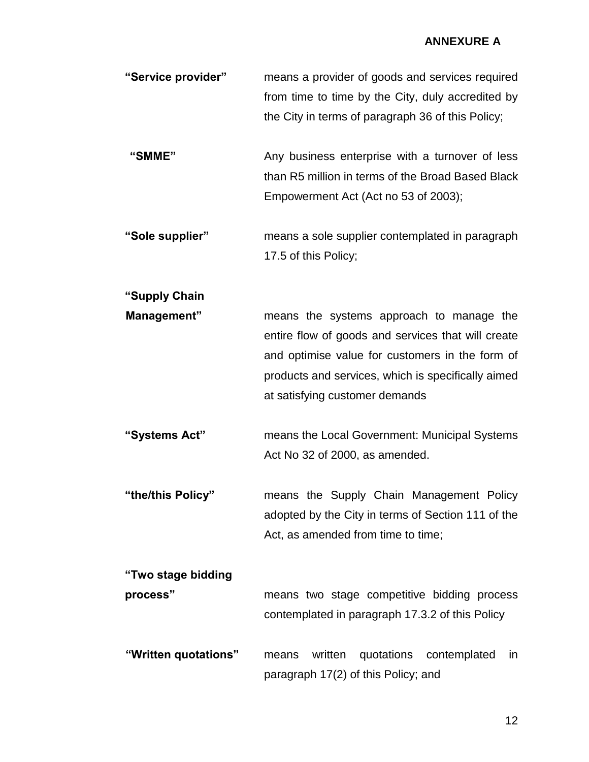| "Service provider"             | means a provider of goods and services required<br>from time to time by the City, duly accredited by<br>the City in terms of paragraph 36 of this Policy;                                                                                 |
|--------------------------------|-------------------------------------------------------------------------------------------------------------------------------------------------------------------------------------------------------------------------------------------|
| "SMME"                         | Any business enterprise with a turnover of less<br>than R5 million in terms of the Broad Based Black<br>Empowerment Act (Act no 53 of 2003);                                                                                              |
| "Sole supplier"                | means a sole supplier contemplated in paragraph<br>17.5 of this Policy;                                                                                                                                                                   |
| "Supply Chain                  |                                                                                                                                                                                                                                           |
| Management"                    | means the systems approach to manage the<br>entire flow of goods and services that will create<br>and optimise value for customers in the form of<br>products and services, which is specifically aimed<br>at satisfying customer demands |
| "Systems Act"                  | means the Local Government: Municipal Systems<br>Act No 32 of 2000, as amended.                                                                                                                                                           |
| "the/this Policy"              | means the Supply Chain Management Policy<br>adopted by the City in terms of Section 111 of the<br>Act, as amended from time to time;                                                                                                      |
| "Two stage bidding<br>process" | means two stage competitive bidding process<br>contemplated in paragraph 17.3.2 of this Policy                                                                                                                                            |

**"Written quotations"** means written quotations contemplated in paragraph 17(2) of this Policy; and

12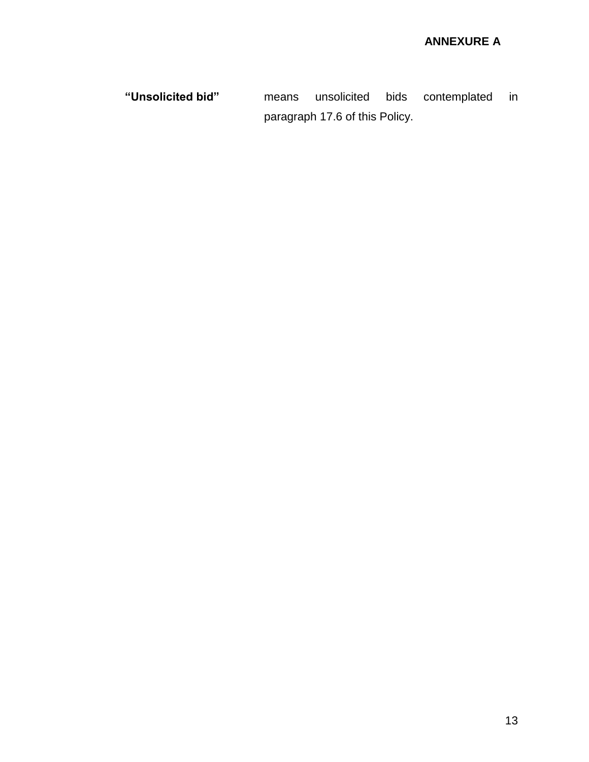**"Unsolicited bid"** means unsolicited bids contemplated in paragraph 17.6 of this Policy.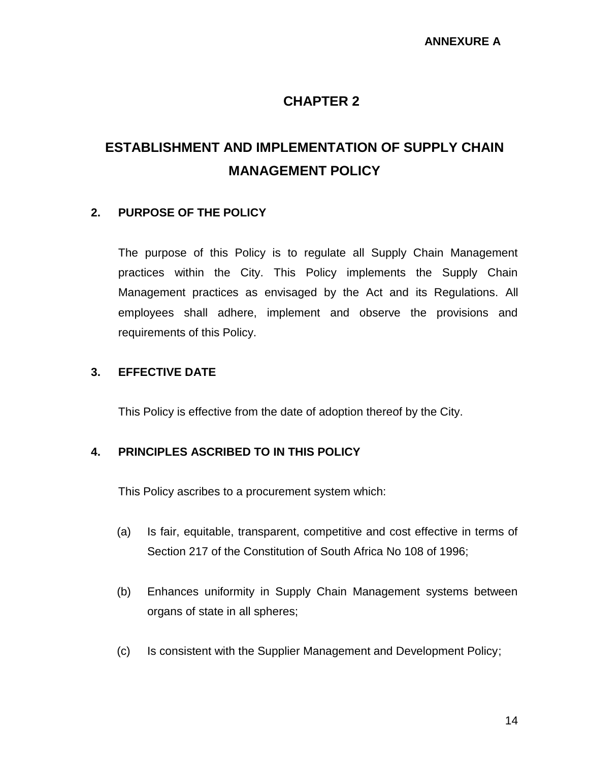### **CHAPTER 2**

# **ESTABLISHMENT AND IMPLEMENTATION OF SUPPLY CHAIN MANAGEMENT POLICY**

#### **2. PURPOSE OF THE POLICY**

The purpose of this Policy is to regulate all Supply Chain Management practices within the City. This Policy implements the Supply Chain Management practices as envisaged by the Act and its Regulations. All employees shall adhere, implement and observe the provisions and requirements of this Policy.

#### **3. EFFECTIVE DATE**

This Policy is effective from the date of adoption thereof by the City.

#### **4. PRINCIPLES ASCRIBED TO IN THIS POLICY**

This Policy ascribes to a procurement system which:

- (a) Is fair, equitable, transparent, competitive and cost effective in terms of Section 217 of the Constitution of South Africa No 108 of 1996;
- (b) Enhances uniformity in Supply Chain Management systems between organs of state in all spheres;
- (c) Is consistent with the Supplier Management and Development Policy;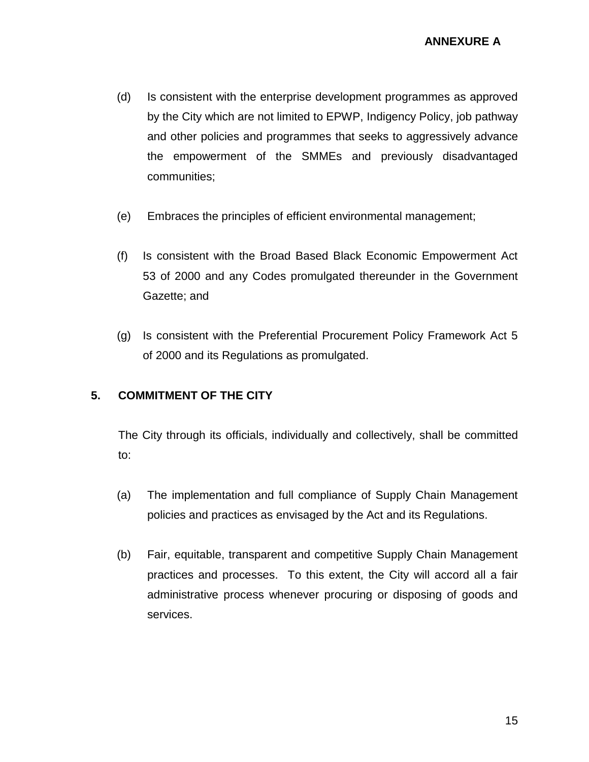- (d) Is consistent with the enterprise development programmes as approved by the City which are not limited to EPWP, Indigency Policy, job pathway and other policies and programmes that seeks to aggressively advance the empowerment of the SMMEs and previously disadvantaged communities;
- (e) Embraces the principles of efficient environmental management;
- (f) Is consistent with the Broad Based Black Economic Empowerment Act 53 of 2000 and any Codes promulgated thereunder in the Government Gazette; and
- (g) Is consistent with the Preferential Procurement Policy Framework Act 5 of 2000 and its Regulations as promulgated.

#### **5. COMMITMENT OF THE CITY**

The City through its officials, individually and collectively, shall be committed to:

- (a) The implementation and full compliance of Supply Chain Management policies and practices as envisaged by the Act and its Regulations.
- (b) Fair, equitable, transparent and competitive Supply Chain Management practices and processes. To this extent, the City will accord all a fair administrative process whenever procuring or disposing of goods and services.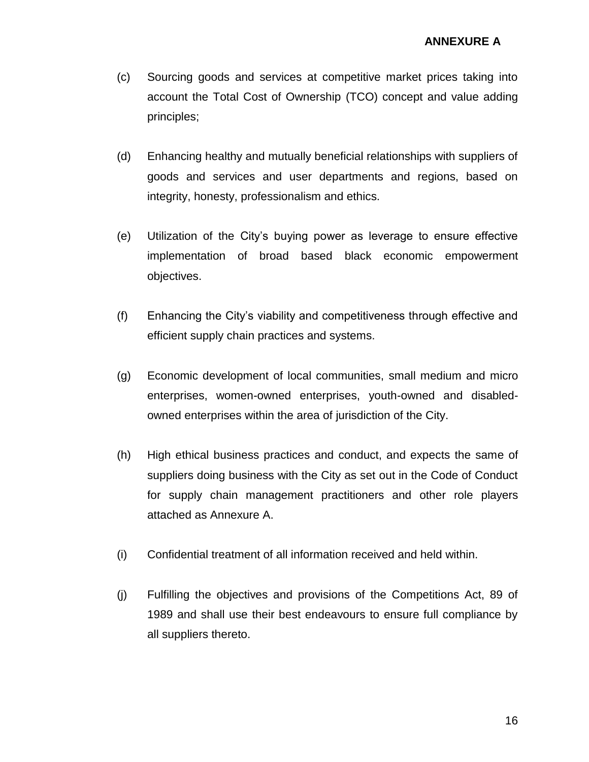- (c) Sourcing goods and services at competitive market prices taking into account the Total Cost of Ownership (TCO) concept and value adding principles;
- (d) Enhancing healthy and mutually beneficial relationships with suppliers of goods and services and user departments and regions, based on integrity, honesty, professionalism and ethics.
- (e) Utilization of the City's buying power as leverage to ensure effective implementation of broad based black economic empowerment objectives.
- (f) Enhancing the City's viability and competitiveness through effective and efficient supply chain practices and systems.
- (g) Economic development of local communities, small medium and micro enterprises, women-owned enterprises, youth-owned and disabledowned enterprises within the area of jurisdiction of the City.
- (h) High ethical business practices and conduct, and expects the same of suppliers doing business with the City as set out in the Code of Conduct for supply chain management practitioners and other role players attached as Annexure A.
- (i) Confidential treatment of all information received and held within.
- (j) Fulfilling the objectives and provisions of the Competitions Act, 89 of 1989 and shall use their best endeavours to ensure full compliance by all suppliers thereto.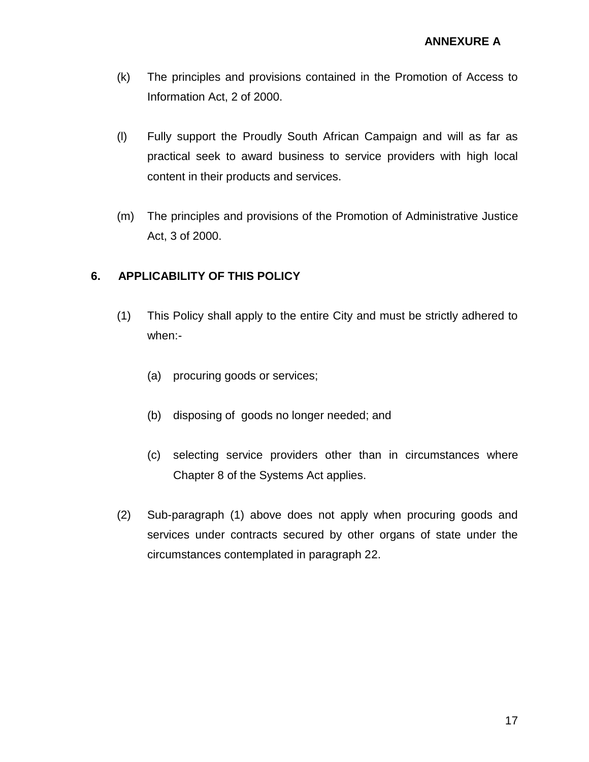- (k) The principles and provisions contained in the Promotion of Access to Information Act, 2 of 2000.
- (l) Fully support the Proudly South African Campaign and will as far as practical seek to award business to service providers with high local content in their products and services.
- (m) The principles and provisions of the Promotion of Administrative Justice Act, 3 of 2000.

#### **6. APPLICABILITY OF THIS POLICY**

- (1) This Policy shall apply to the entire City and must be strictly adhered to when:-
	- (a) procuring goods or services;
	- (b) disposing of goods no longer needed; and
	- (c) selecting service providers other than in circumstances where Chapter 8 of the Systems Act applies.
- (2) Sub-paragraph (1) above does not apply when procuring goods and services under contracts secured by other organs of state under the circumstances contemplated in paragraph 22.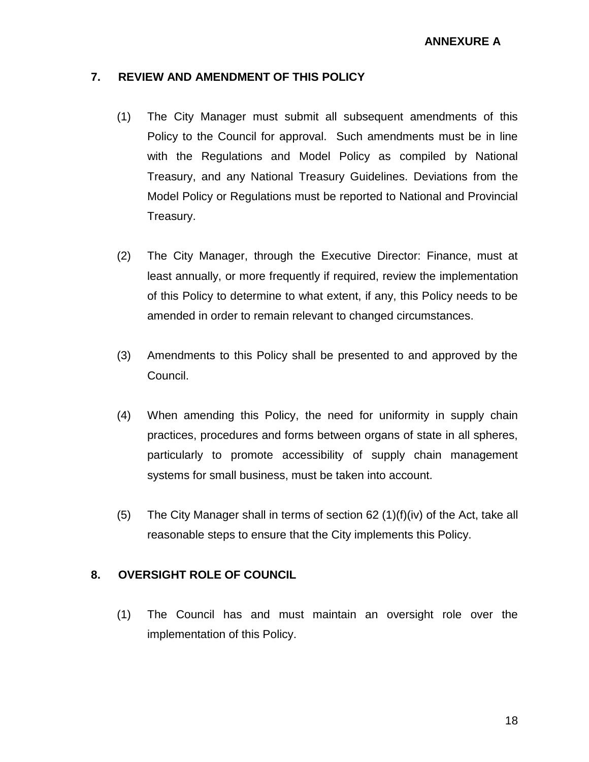#### **7. REVIEW AND AMENDMENT OF THIS POLICY**

- (1) The City Manager must submit all subsequent amendments of this Policy to the Council for approval. Such amendments must be in line with the Regulations and Model Policy as compiled by National Treasury, and any National Treasury Guidelines. Deviations from the Model Policy or Regulations must be reported to National and Provincial Treasury.
- (2) The City Manager, through the Executive Director: Finance, must at least annually, or more frequently if required, review the implementation of this Policy to determine to what extent, if any, this Policy needs to be amended in order to remain relevant to changed circumstances.
- (3) Amendments to this Policy shall be presented to and approved by the Council.
- (4) When amending this Policy, the need for uniformity in supply chain practices, procedures and forms between organs of state in all spheres, particularly to promote accessibility of supply chain management systems for small business, must be taken into account.
- (5) The City Manager shall in terms of section  $62$  (1)(f)(iv) of the Act, take all reasonable steps to ensure that the City implements this Policy.

#### **8. OVERSIGHT ROLE OF COUNCIL**

(1) The Council has and must maintain an oversight role over the implementation of this Policy.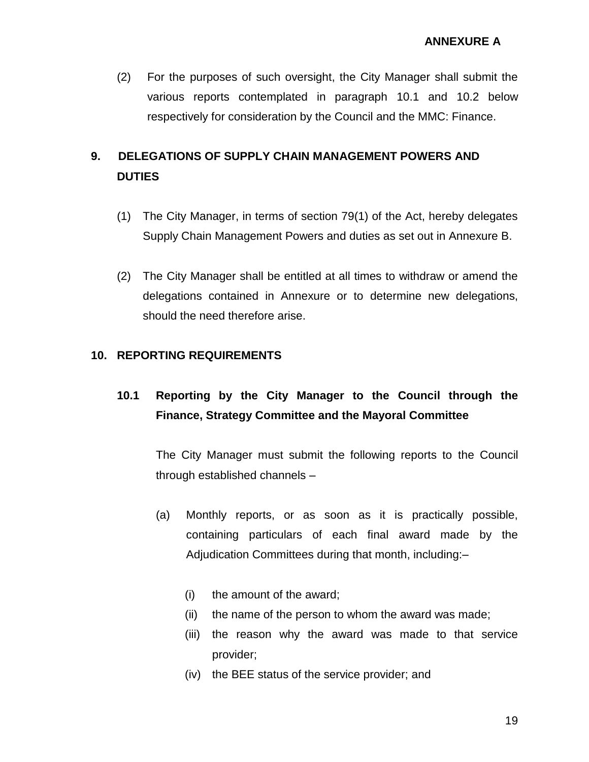(2) For the purposes of such oversight, the City Manager shall submit the various reports contemplated in paragraph 10.1 and 10.2 below respectively for consideration by the Council and the MMC: Finance.

# **9. DELEGATIONS OF SUPPLY CHAIN MANAGEMENT POWERS AND DUTIES**

- (1) The City Manager, in terms of section 79(1) of the Act, hereby delegates Supply Chain Management Powers and duties as set out in Annexure B.
- (2) The City Manager shall be entitled at all times to withdraw or amend the delegations contained in Annexure or to determine new delegations, should the need therefore arise.

#### **10. REPORTING REQUIREMENTS**

# **10.1 Reporting by the City Manager to the Council through the Finance, Strategy Committee and the Mayoral Committee**

The City Manager must submit the following reports to the Council through established channels –

- (a) Monthly reports, or as soon as it is practically possible, containing particulars of each final award made by the Adjudication Committees during that month, including:–
	- (i) the amount of the award;
	- (ii) the name of the person to whom the award was made;
	- (iii) the reason why the award was made to that service provider;
	- (iv) the BEE status of the service provider; and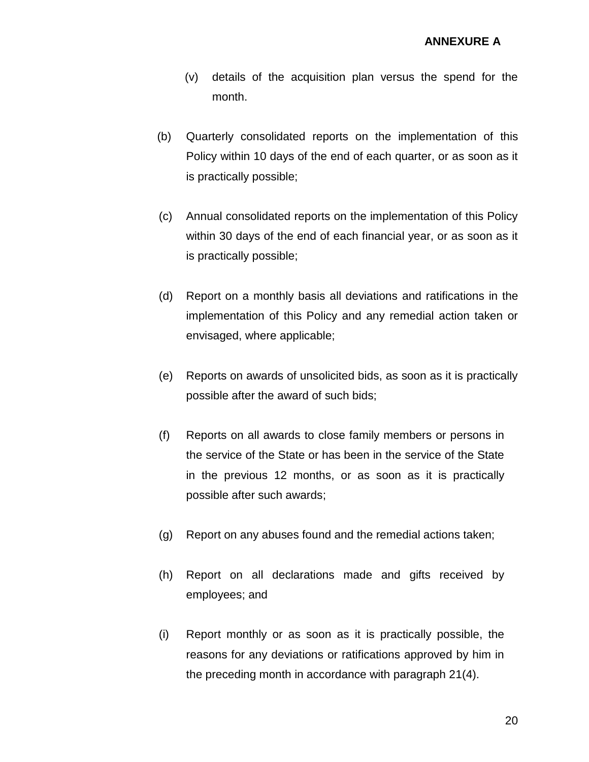- (v) details of the acquisition plan versus the spend for the month.
- (b) Quarterly consolidated reports on the implementation of this Policy within 10 days of the end of each quarter, or as soon as it is practically possible;
- (c) Annual consolidated reports on the implementation of this Policy within 30 days of the end of each financial year, or as soon as it is practically possible;
- (d) Report on a monthly basis all deviations and ratifications in the implementation of this Policy and any remedial action taken or envisaged, where applicable;
- (e) Reports on awards of unsolicited bids, as soon as it is practically possible after the award of such bids;
- (f) Reports on all awards to close family members or persons in the service of the State or has been in the service of the State in the previous 12 months, or as soon as it is practically possible after such awards;
- (g) Report on any abuses found and the remedial actions taken;
- (h) Report on all declarations made and gifts received by employees; and
- (i) Report monthly or as soon as it is practically possible, the reasons for any deviations or ratifications approved by him in the preceding month in accordance with paragraph 21(4).

20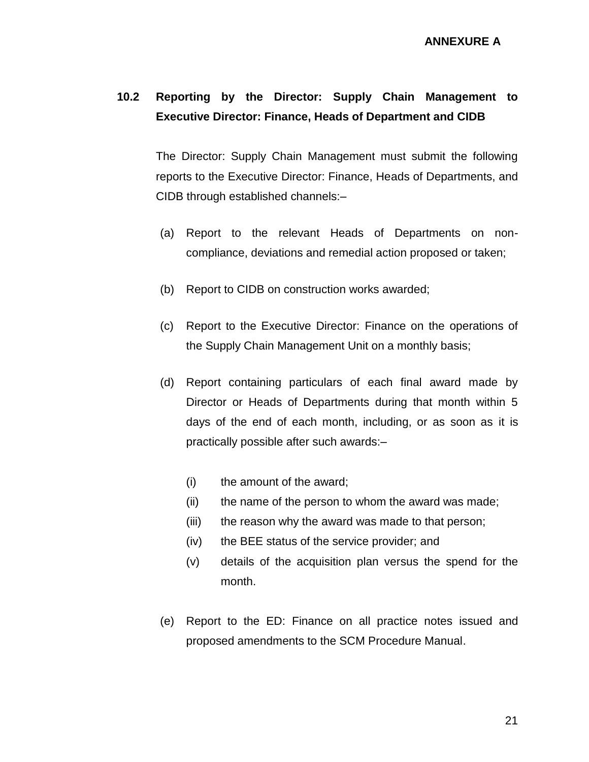## **10.2 Reporting by the Director: Supply Chain Management to Executive Director: Finance, Heads of Department and CIDB**

The Director: Supply Chain Management must submit the following reports to the Executive Director: Finance, Heads of Departments, and CIDB through established channels:–

- (a) Report to the relevant Heads of Departments on noncompliance, deviations and remedial action proposed or taken;
- (b) Report to CIDB on construction works awarded;
- (c) Report to the Executive Director: Finance on the operations of the Supply Chain Management Unit on a monthly basis;
- (d) Report containing particulars of each final award made by Director or Heads of Departments during that month within 5 days of the end of each month, including, or as soon as it is practically possible after such awards:–
	- (i) the amount of the award;
	- (ii) the name of the person to whom the award was made;
	- (iii) the reason why the award was made to that person;
	- (iv) the BEE status of the service provider; and
	- (v) details of the acquisition plan versus the spend for the month.
- (e) Report to the ED: Finance on all practice notes issued and proposed amendments to the SCM Procedure Manual.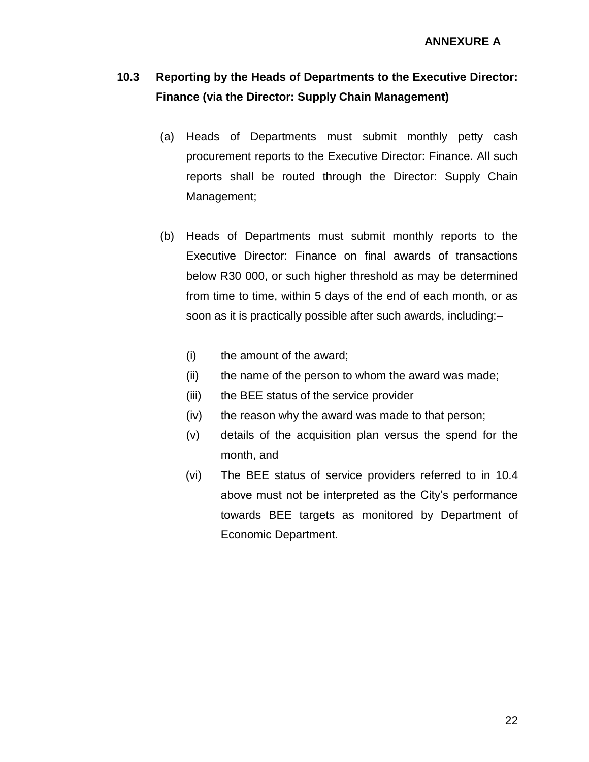# **10.3 Reporting by the Heads of Departments to the Executive Director: Finance (via the Director: Supply Chain Management)**

- (a) Heads of Departments must submit monthly petty cash procurement reports to the Executive Director: Finance. All such reports shall be routed through the Director: Supply Chain Management;
- (b) Heads of Departments must submit monthly reports to the Executive Director: Finance on final awards of transactions below R30 000, or such higher threshold as may be determined from time to time, within 5 days of the end of each month, or as soon as it is practically possible after such awards, including:–
	- (i) the amount of the award;
	- (ii) the name of the person to whom the award was made;
	- (iii) the BEE status of the service provider
	- (iv) the reason why the award was made to that person;
	- (v) details of the acquisition plan versus the spend for the month, and
	- (vi) The BEE status of service providers referred to in 10.4 above must not be interpreted as the City's performance towards BEE targets as monitored by Department of Economic Department.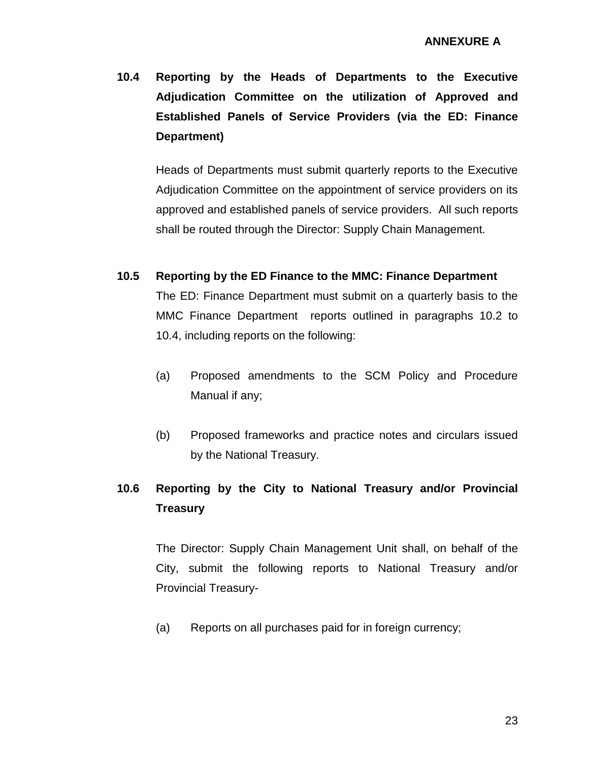**10.4 Reporting by the Heads of Departments to the Executive Adjudication Committee on the utilization of Approved and Established Panels of Service Providers (via the ED: Finance Department)**

Heads of Departments must submit quarterly reports to the Executive Adjudication Committee on the appointment of service providers on its approved and established panels of service providers. All such reports shall be routed through the Director: Supply Chain Management.

**10.5 Reporting by the ED Finance to the MMC: Finance Department**

The ED: Finance Department must submit on a quarterly basis to the MMC Finance Department reports outlined in paragraphs 10.2 to 10.4, including reports on the following:

- (a) Proposed amendments to the SCM Policy and Procedure Manual if any;
- (b) Proposed frameworks and practice notes and circulars issued by the National Treasury.

# **10.6 Reporting by the City to National Treasury and/or Provincial Treasury**

The Director: Supply Chain Management Unit shall, on behalf of the City, submit the following reports to National Treasury and/or Provincial Treasury-

(a) Reports on all purchases paid for in foreign currency;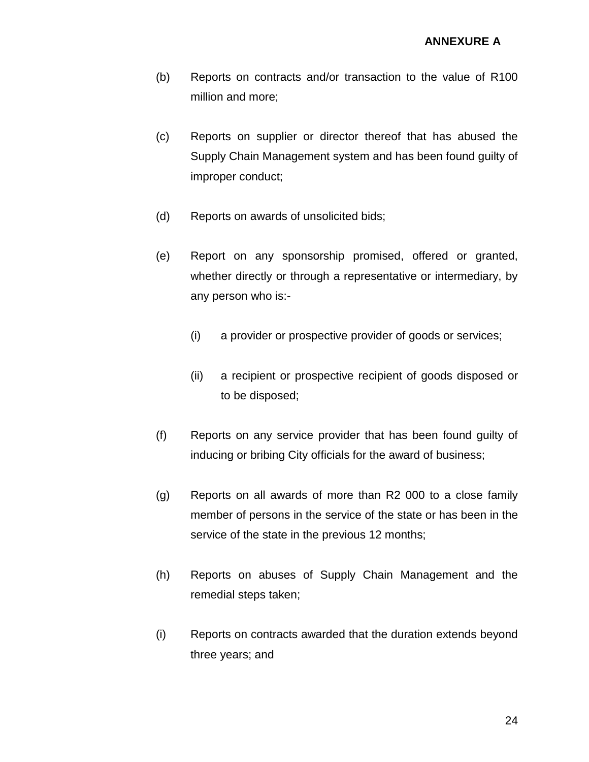- (b) Reports on contracts and/or transaction to the value of R100 million and more;
- (c) Reports on supplier or director thereof that has abused the Supply Chain Management system and has been found guilty of improper conduct;
- (d) Reports on awards of unsolicited bids;
- (e) Report on any sponsorship promised, offered or granted, whether directly or through a representative or intermediary, by any person who is:-
	- (i) a provider or prospective provider of goods or services;
	- (ii) a recipient or prospective recipient of goods disposed or to be disposed;
- (f) Reports on any service provider that has been found guilty of inducing or bribing City officials for the award of business;
- (g) Reports on all awards of more than R2 000 to a close family member of persons in the service of the state or has been in the service of the state in the previous 12 months;
- (h) Reports on abuses of Supply Chain Management and the remedial steps taken;
- (i) Reports on contracts awarded that the duration extends beyond three years; and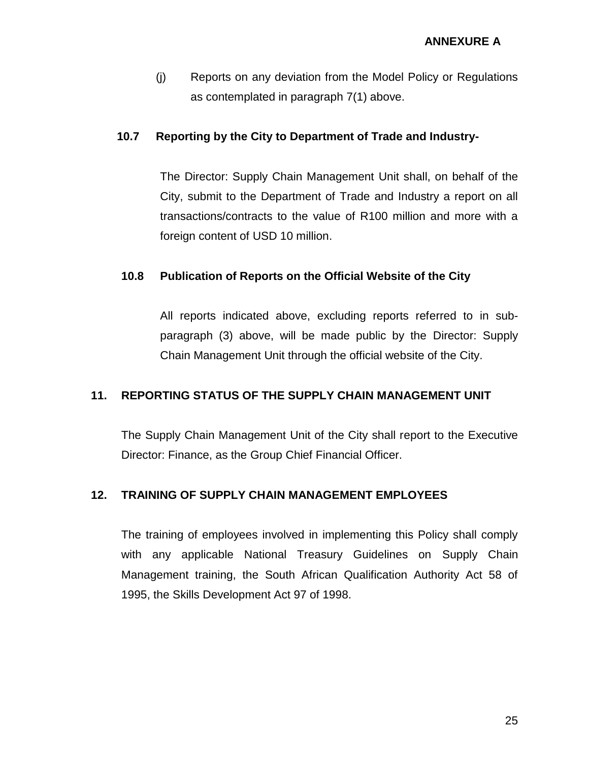(j) Reports on any deviation from the Model Policy or Regulations as contemplated in paragraph 7(1) above.

#### **10.7 Reporting by the City to Department of Trade and Industry-**

The Director: Supply Chain Management Unit shall, on behalf of the City, submit to the Department of Trade and Industry a report on all transactions/contracts to the value of R100 million and more with a foreign content of USD 10 million.

#### **10.8 Publication of Reports on the Official Website of the City**

All reports indicated above, excluding reports referred to in subparagraph (3) above, will be made public by the Director: Supply Chain Management Unit through the official website of the City.

#### **11. REPORTING STATUS OF THE SUPPLY CHAIN MANAGEMENT UNIT**

The Supply Chain Management Unit of the City shall report to the Executive Director: Finance, as the Group Chief Financial Officer.

#### **12. TRAINING OF SUPPLY CHAIN MANAGEMENT EMPLOYEES**

The training of employees involved in implementing this Policy shall comply with any applicable National Treasury Guidelines on Supply Chain Management training, the South African Qualification Authority Act 58 of 1995, the Skills Development Act 97 of 1998.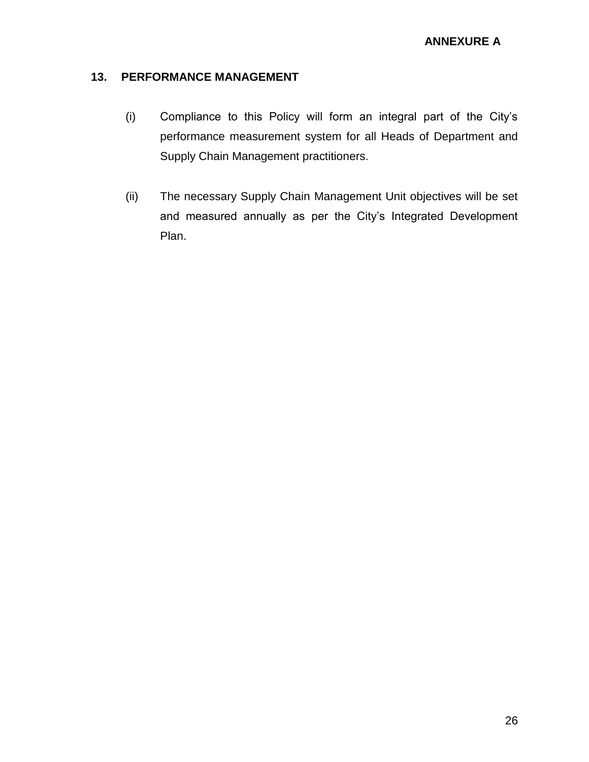#### **13. PERFORMANCE MANAGEMENT**

- (i) Compliance to this Policy will form an integral part of the City's performance measurement system for all Heads of Department and Supply Chain Management practitioners.
- (ii) The necessary Supply Chain Management Unit objectives will be set and measured annually as per the City's Integrated Development Plan.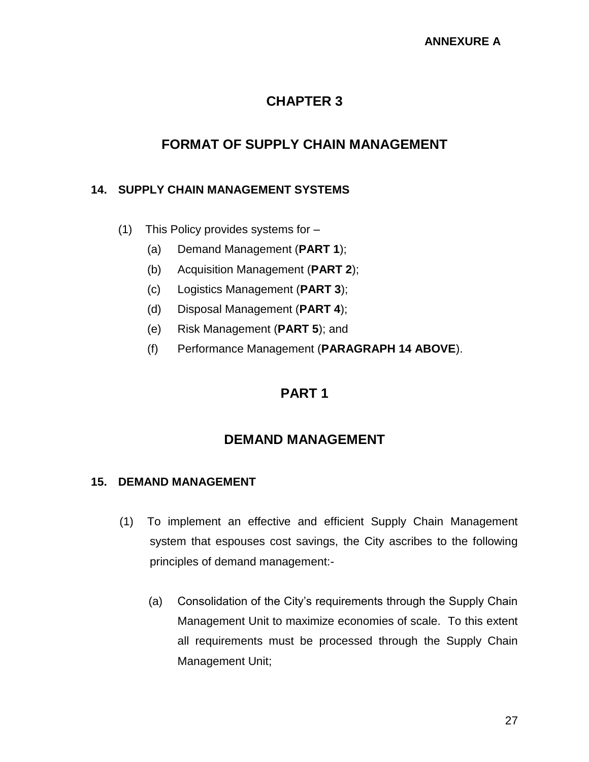# **CHAPTER 3**

# **FORMAT OF SUPPLY CHAIN MANAGEMENT**

#### **14. SUPPLY CHAIN MANAGEMENT SYSTEMS**

- (1) This Policy provides systems for
	- (a) Demand Management (**PART 1**);
	- (b) Acquisition Management (**PART 2**);
	- (c) Logistics Management (**PART 3**);
	- (d) Disposal Management (**PART 4**);
	- (e) Risk Management (**PART 5**); and
	- (f) Performance Management (**PARAGRAPH 14 ABOVE**).

### **PART 1**

### **DEMAND MANAGEMENT**

#### **15. DEMAND MANAGEMENT**

- (1) To implement an effective and efficient Supply Chain Management system that espouses cost savings, the City ascribes to the following principles of demand management:-
	- (a) Consolidation of the City's requirements through the Supply Chain Management Unit to maximize economies of scale. To this extent all requirements must be processed through the Supply Chain Management Unit;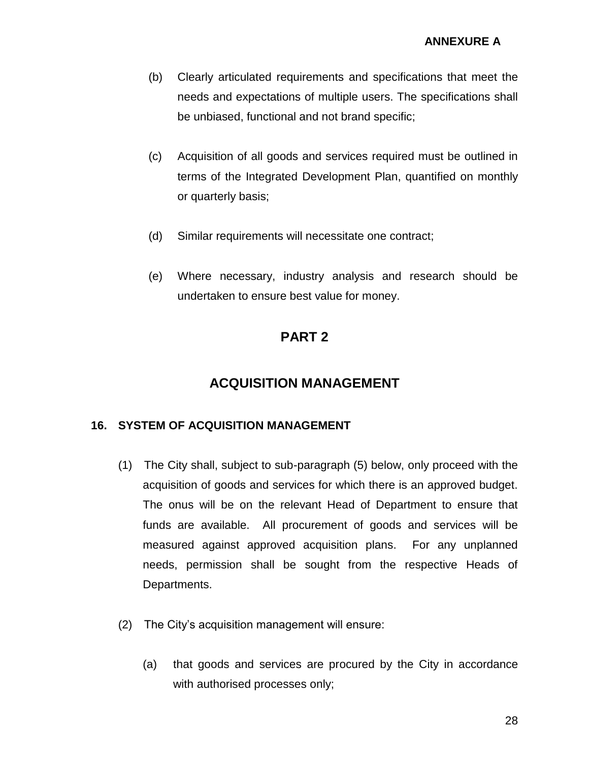- (b) Clearly articulated requirements and specifications that meet the needs and expectations of multiple users. The specifications shall be unbiased, functional and not brand specific;
- (c) Acquisition of all goods and services required must be outlined in terms of the Integrated Development Plan, quantified on monthly or quarterly basis;
- (d) Similar requirements will necessitate one contract;
- (e) Where necessary, industry analysis and research should be undertaken to ensure best value for money.

## **PART 2**

### **ACQUISITION MANAGEMENT**

#### **16. SYSTEM OF ACQUISITION MANAGEMENT**

- (1) The City shall, subject to sub-paragraph (5) below, only proceed with the acquisition of goods and services for which there is an approved budget. The onus will be on the relevant Head of Department to ensure that funds are available. All procurement of goods and services will be measured against approved acquisition plans. For any unplanned needs, permission shall be sought from the respective Heads of Departments.
- (2) The City's acquisition management will ensure:
	- (a) that goods and services are procured by the City in accordance with authorised processes only;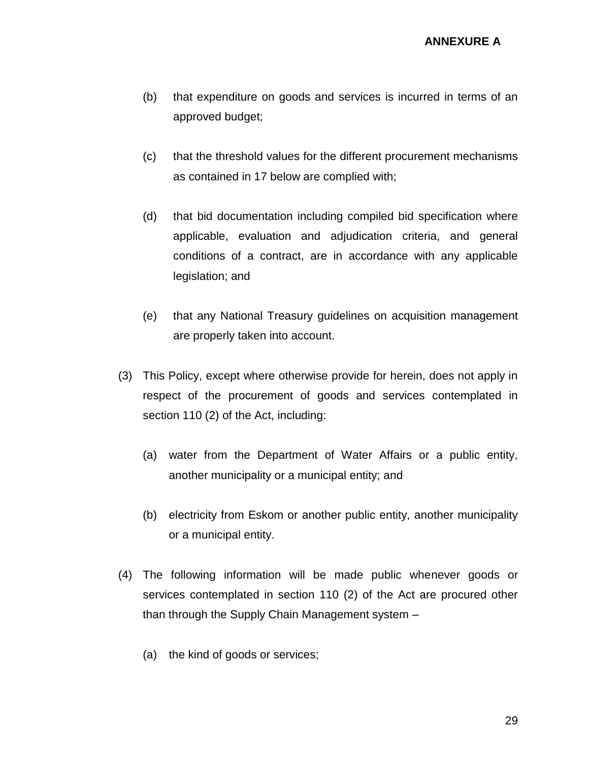- (b) that expenditure on goods and services is incurred in terms of an approved budget;
- (c) that the threshold values for the different procurement mechanisms as contained in 17 below are complied with;
- (d) that bid documentation including compiled bid specification where applicable, evaluation and adjudication criteria, and general conditions of a contract, are in accordance with any applicable legislation; and
- (e) that any National Treasury guidelines on acquisition management are properly taken into account.
- (3) This Policy, except where otherwise provide for herein, does not apply in respect of the procurement of goods and services contemplated in section 110 (2) of the Act, including:
	- (a) water from the Department of Water Affairs or a public entity, another municipality or a municipal entity; and
	- (b) electricity from Eskom or another public entity, another municipality or a municipal entity.
- (4) The following information will be made public whenever goods or services contemplated in section 110 (2) of the Act are procured other than through the Supply Chain Management system –
	- (a) the kind of goods or services;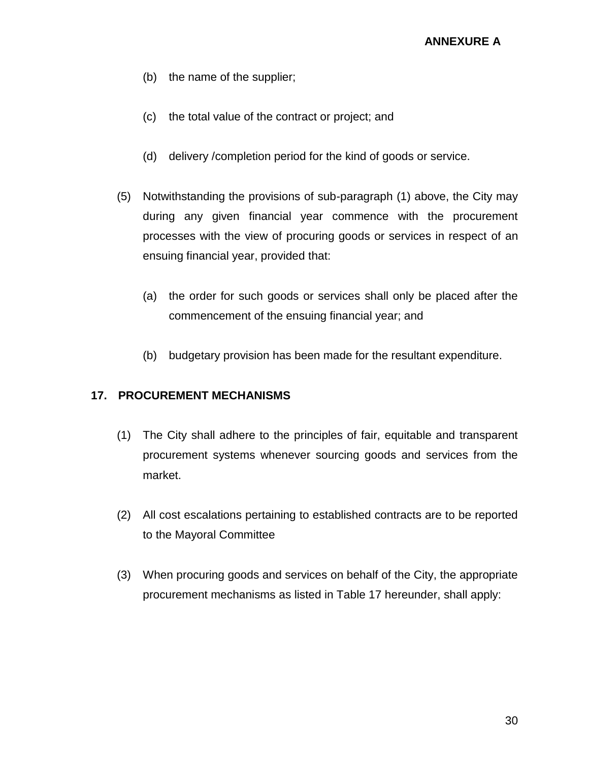- (b) the name of the supplier;
- (c) the total value of the contract or project; and
- (d) delivery /completion period for the kind of goods or service.
- (5) Notwithstanding the provisions of sub-paragraph (1) above, the City may during any given financial year commence with the procurement processes with the view of procuring goods or services in respect of an ensuing financial year, provided that:
	- (a) the order for such goods or services shall only be placed after the commencement of the ensuing financial year; and
	- (b) budgetary provision has been made for the resultant expenditure.

#### **17. PROCUREMENT MECHANISMS**

- (1) The City shall adhere to the principles of fair, equitable and transparent procurement systems whenever sourcing goods and services from the market.
- (2) All cost escalations pertaining to established contracts are to be reported to the Mayoral Committee
- (3) When procuring goods and services on behalf of the City, the appropriate procurement mechanisms as listed in Table 17 hereunder, shall apply: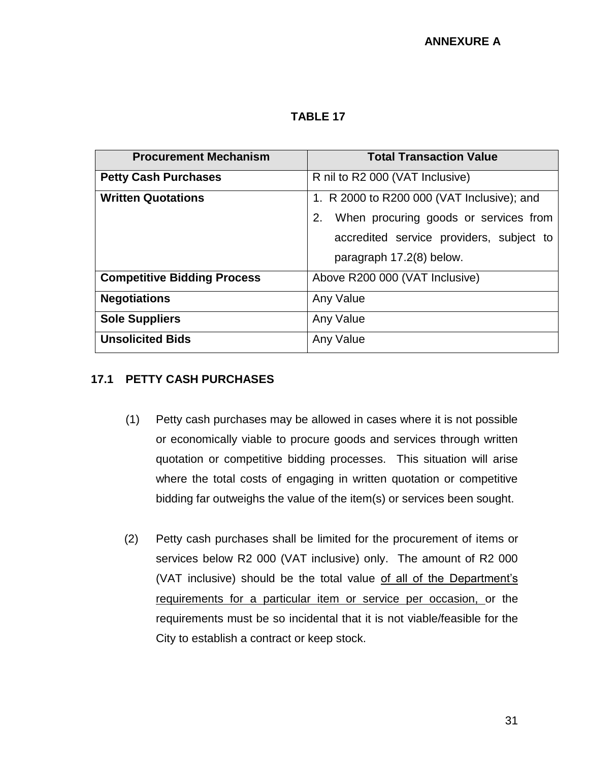**TABLE 17**

| <b>Procurement Mechanism</b>       | <b>Total Transaction Value</b>                                                                                                                                    |
|------------------------------------|-------------------------------------------------------------------------------------------------------------------------------------------------------------------|
| <b>Petty Cash Purchases</b>        | R nil to R2 000 (VAT Inclusive)                                                                                                                                   |
| <b>Written Quotations</b>          | 1. R 2000 to R200 000 (VAT Inclusive); and<br>When procuring goods or services from<br>2.<br>accredited service providers, subject to<br>paragraph 17.2(8) below. |
| <b>Competitive Bidding Process</b> | Above R200 000 (VAT Inclusive)                                                                                                                                    |
| <b>Negotiations</b>                | Any Value                                                                                                                                                         |
| <b>Sole Suppliers</b>              | Any Value                                                                                                                                                         |
| <b>Unsolicited Bids</b>            | Any Value                                                                                                                                                         |

#### **17.1 PETTY CASH PURCHASES**

- (1) Petty cash purchases may be allowed in cases where it is not possible or economically viable to procure goods and services through written quotation or competitive bidding processes. This situation will arise where the total costs of engaging in written quotation or competitive bidding far outweighs the value of the item(s) or services been sought.
- (2) Petty cash purchases shall be limited for the procurement of items or services below R2 000 (VAT inclusive) only. The amount of R2 000 (VAT inclusive) should be the total value of all of the Department's requirements for a particular item or service per occasion, or the requirements must be so incidental that it is not viable/feasible for the City to establish a contract or keep stock.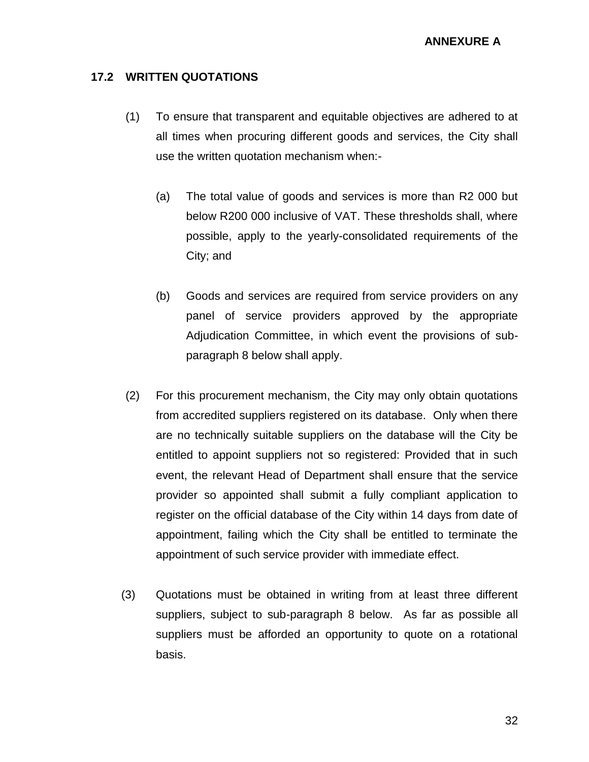#### **17.2 WRITTEN QUOTATIONS**

- (1) To ensure that transparent and equitable objectives are adhered to at all times when procuring different goods and services, the City shall use the written quotation mechanism when:-
	- (a) The total value of goods and services is more than R2 000 but below R200 000 inclusive of VAT. These thresholds shall, where possible, apply to the yearly-consolidated requirements of the City; and
	- (b) Goods and services are required from service providers on any panel of service providers approved by the appropriate Adjudication Committee, in which event the provisions of subparagraph 8 below shall apply.
- (2) For this procurement mechanism, the City may only obtain quotations from accredited suppliers registered on its database. Only when there are no technically suitable suppliers on the database will the City be entitled to appoint suppliers not so registered: Provided that in such event, the relevant Head of Department shall ensure that the service provider so appointed shall submit a fully compliant application to register on the official database of the City within 14 days from date of appointment, failing which the City shall be entitled to terminate the appointment of such service provider with immediate effect.
- (3) Quotations must be obtained in writing from at least three different suppliers, subject to sub-paragraph 8 below. As far as possible all suppliers must be afforded an opportunity to quote on a rotational basis.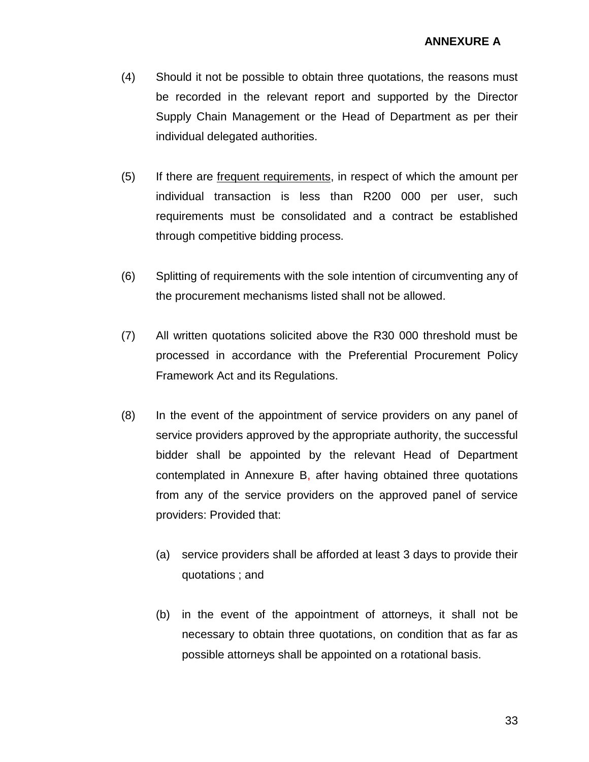- (4) Should it not be possible to obtain three quotations, the reasons must be recorded in the relevant report and supported by the Director Supply Chain Management or the Head of Department as per their individual delegated authorities.
- (5) If there are frequent requirements, in respect of which the amount per individual transaction is less than R200 000 per user, such requirements must be consolidated and a contract be established through competitive bidding process.
- (6) Splitting of requirements with the sole intention of circumventing any of the procurement mechanisms listed shall not be allowed.
- (7) All written quotations solicited above the R30 000 threshold must be processed in accordance with the Preferential Procurement Policy Framework Act and its Regulations.
- (8) In the event of the appointment of service providers on any panel of service providers approved by the appropriate authority, the successful bidder shall be appointed by the relevant Head of Department contemplated in Annexure B, after having obtained three quotations from any of the service providers on the approved panel of service providers: Provided that:
	- (a) service providers shall be afforded at least 3 days to provide their quotations ; and
	- (b) in the event of the appointment of attorneys, it shall not be necessary to obtain three quotations, on condition that as far as possible attorneys shall be appointed on a rotational basis.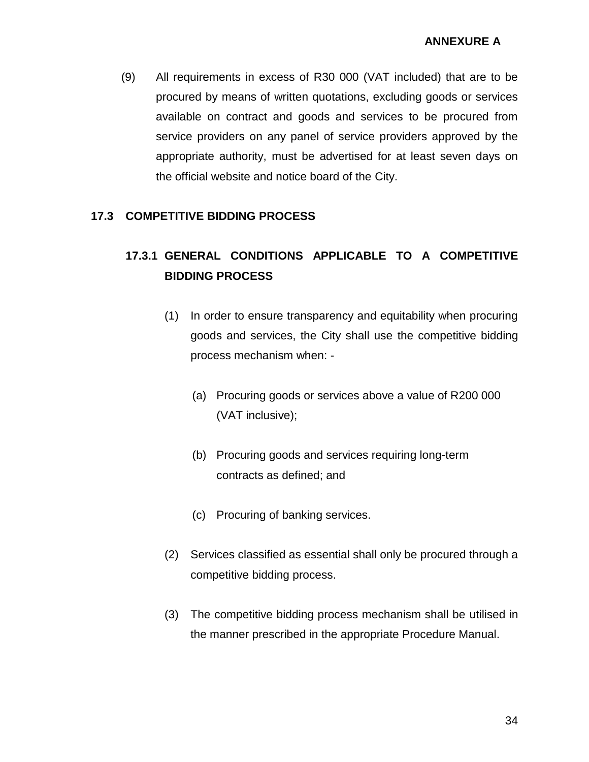(9) All requirements in excess of R30 000 (VAT included) that are to be procured by means of written quotations, excluding goods or services available on contract and goods and services to be procured from service providers on any panel of service providers approved by the appropriate authority, must be advertised for at least seven days on the official website and notice board of the City.

#### **17.3 COMPETITIVE BIDDING PROCESS**

# **17.3.1 GENERAL CONDITIONS APPLICABLE TO A COMPETITIVE BIDDING PROCESS**

- (1) In order to ensure transparency and equitability when procuring goods and services, the City shall use the competitive bidding process mechanism when: -
	- (a) Procuring goods or services above a value of R200 000 (VAT inclusive);
	- (b) Procuring goods and services requiring long-term contracts as defined; and
	- (c) Procuring of banking services.
- (2) Services classified as essential shall only be procured through a competitive bidding process.
- (3) The competitive bidding process mechanism shall be utilised in the manner prescribed in the appropriate Procedure Manual.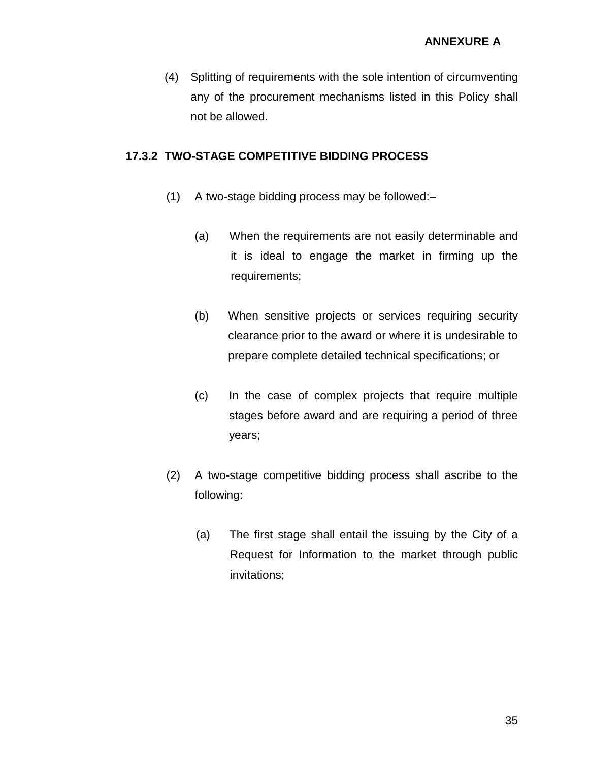(4) Splitting of requirements with the sole intention of circumventing any of the procurement mechanisms listed in this Policy shall not be allowed.

#### **17.3.2 TWO-STAGE COMPETITIVE BIDDING PROCESS**

- (1) A two-stage bidding process may be followed:–
	- (a) When the requirements are not easily determinable and it is ideal to engage the market in firming up the requirements;
	- (b) When sensitive projects or services requiring security clearance prior to the award or where it is undesirable to prepare complete detailed technical specifications; or
	- (c) In the case of complex projects that require multiple stages before award and are requiring a period of three years;
- (2) A two-stage competitive bidding process shall ascribe to the following:
	- (a) The first stage shall entail the issuing by the City of a Request for Information to the market through public invitations;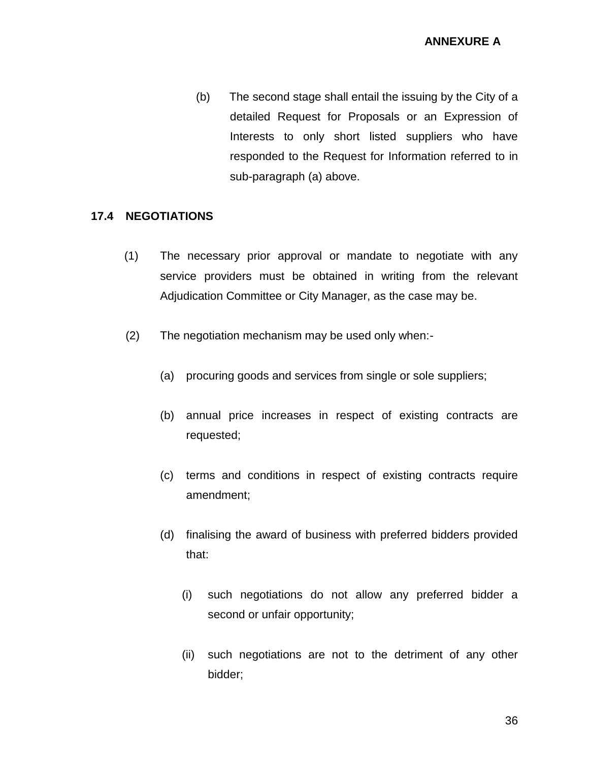(b) The second stage shall entail the issuing by the City of a detailed Request for Proposals or an Expression of Interests to only short listed suppliers who have responded to the Request for Information referred to in sub-paragraph (a) above.

#### **17.4 NEGOTIATIONS**

- (1) The necessary prior approval or mandate to negotiate with any service providers must be obtained in writing from the relevant Adjudication Committee or City Manager, as the case may be.
- (2) The negotiation mechanism may be used only when:-
	- (a) procuring goods and services from single or sole suppliers;
	- (b) annual price increases in respect of existing contracts are requested;
	- (c) terms and conditions in respect of existing contracts require amendment;
	- (d) finalising the award of business with preferred bidders provided that:
		- (i) such negotiations do not allow any preferred bidder a second or unfair opportunity;
		- (ii) such negotiations are not to the detriment of any other bidder;

36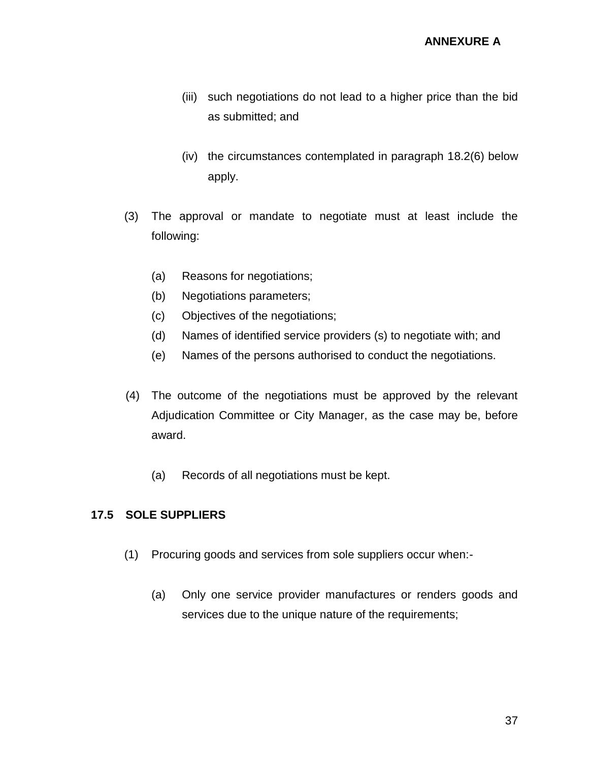- (iii) such negotiations do not lead to a higher price than the bid as submitted; and
- (iv) the circumstances contemplated in paragraph 18.2(6) below apply.
- (3) The approval or mandate to negotiate must at least include the following:
	- (a) Reasons for negotiations;
	- (b) Negotiations parameters;
	- (c) Objectives of the negotiations;
	- (d) Names of identified service providers (s) to negotiate with; and
	- (e) Names of the persons authorised to conduct the negotiations.
- (4) The outcome of the negotiations must be approved by the relevant Adjudication Committee or City Manager, as the case may be, before award.
	- (a) Records of all negotiations must be kept.

## **17.5 SOLE SUPPLIERS**

- (1) Procuring goods and services from sole suppliers occur when:-
	- (a) Only one service provider manufactures or renders goods and services due to the unique nature of the requirements;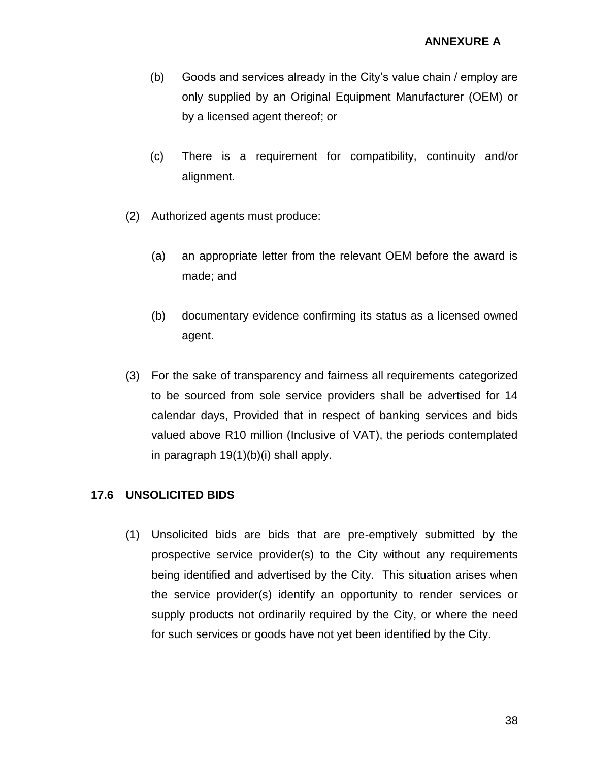- (b) Goods and services already in the City's value chain / employ are only supplied by an Original Equipment Manufacturer (OEM) or by a licensed agent thereof; or
- (c) There is a requirement for compatibility, continuity and/or alignment.
- (2) Authorized agents must produce:
	- (a) an appropriate letter from the relevant OEM before the award is made; and
	- (b) documentary evidence confirming its status as a licensed owned agent.
- (3) For the sake of transparency and fairness all requirements categorized to be sourced from sole service providers shall be advertised for 14 calendar days, Provided that in respect of banking services and bids valued above R10 million (Inclusive of VAT), the periods contemplated in paragraph 19(1)(b)(i) shall apply.

### **17.6 UNSOLICITED BIDS**

(1) Unsolicited bids are bids that are pre-emptively submitted by the prospective service provider(s) to the City without any requirements being identified and advertised by the City. This situation arises when the service provider(s) identify an opportunity to render services or supply products not ordinarily required by the City, or where the need for such services or goods have not yet been identified by the City.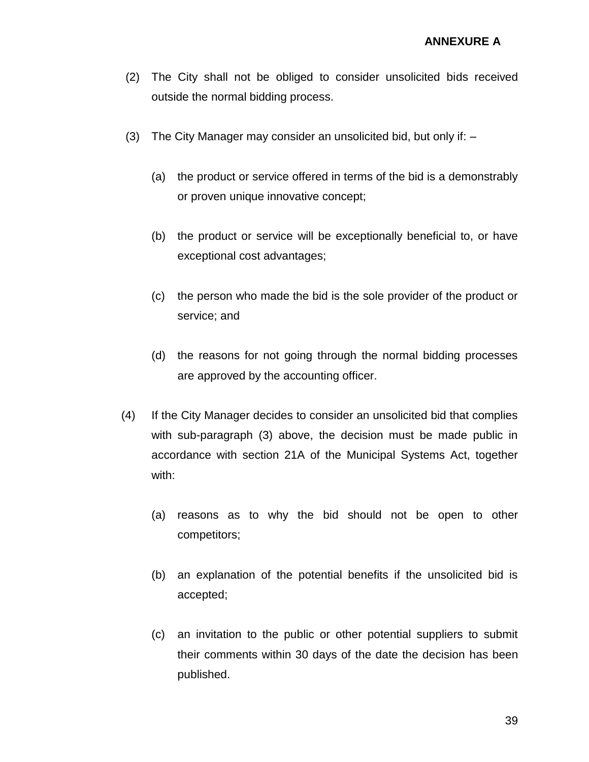- (2) The City shall not be obliged to consider unsolicited bids received outside the normal bidding process.
- (3) The City Manager may consider an unsolicited bid, but only if:
	- (a) the product or service offered in terms of the bid is a demonstrably or proven unique innovative concept;
	- (b) the product or service will be exceptionally beneficial to, or have exceptional cost advantages;
	- (c) the person who made the bid is the sole provider of the product or service; and
	- (d) the reasons for not going through the normal bidding processes are approved by the accounting officer.
- (4) If the City Manager decides to consider an unsolicited bid that complies with sub-paragraph (3) above, the decision must be made public in accordance with section 21A of the Municipal Systems Act, together with:
	- (a) reasons as to why the bid should not be open to other competitors;
	- (b) an explanation of the potential benefits if the unsolicited bid is accepted;
	- (c) an invitation to the public or other potential suppliers to submit their comments within 30 days of the date the decision has been published.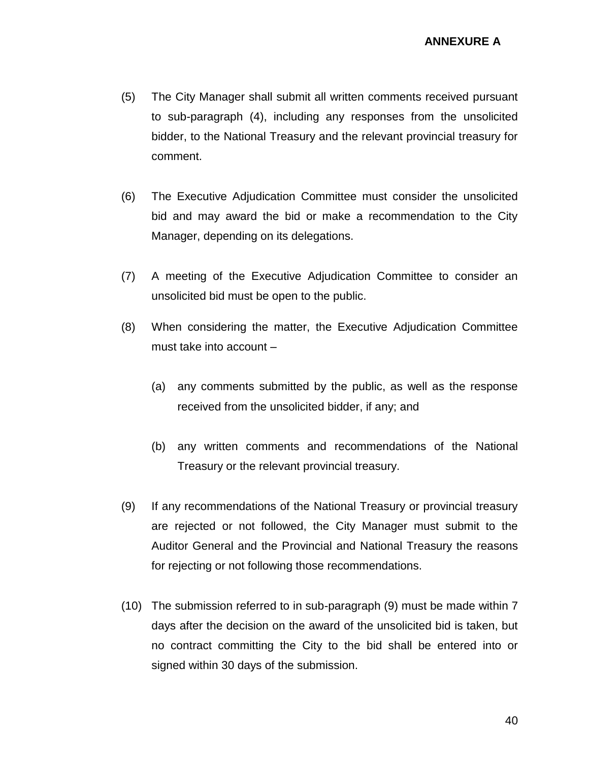- (5) The City Manager shall submit all written comments received pursuant to sub-paragraph (4), including any responses from the unsolicited bidder, to the National Treasury and the relevant provincial treasury for comment.
- (6) The Executive Adjudication Committee must consider the unsolicited bid and may award the bid or make a recommendation to the City Manager, depending on its delegations.
- (7) A meeting of the Executive Adjudication Committee to consider an unsolicited bid must be open to the public.
- (8) When considering the matter, the Executive Adjudication Committee must take into account –
	- (a) any comments submitted by the public, as well as the response received from the unsolicited bidder, if any; and
	- (b) any written comments and recommendations of the National Treasury or the relevant provincial treasury.
- (9) If any recommendations of the National Treasury or provincial treasury are rejected or not followed, the City Manager must submit to the Auditor General and the Provincial and National Treasury the reasons for rejecting or not following those recommendations.
- (10) The submission referred to in sub-paragraph (9) must be made within 7 days after the decision on the award of the unsolicited bid is taken, but no contract committing the City to the bid shall be entered into or signed within 30 days of the submission.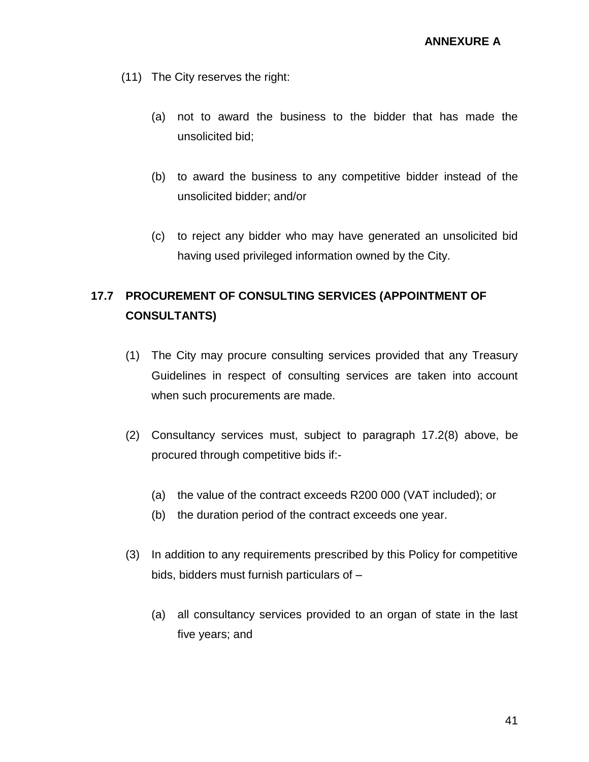- (11) The City reserves the right:
	- (a) not to award the business to the bidder that has made the unsolicited bid;
	- (b) to award the business to any competitive bidder instead of the unsolicited bidder; and/or
	- (c) to reject any bidder who may have generated an unsolicited bid having used privileged information owned by the City.

# **17.7 PROCUREMENT OF CONSULTING SERVICES (APPOINTMENT OF CONSULTANTS)**

- (1) The City may procure consulting services provided that any Treasury Guidelines in respect of consulting services are taken into account when such procurements are made.
- (2) Consultancy services must, subject to paragraph 17.2(8) above, be procured through competitive bids if:-
	- (a) the value of the contract exceeds R200 000 (VAT included); or
	- (b) the duration period of the contract exceeds one year.
- (3) In addition to any requirements prescribed by this Policy for competitive bids, bidders must furnish particulars of –
	- (a) all consultancy services provided to an organ of state in the last five years; and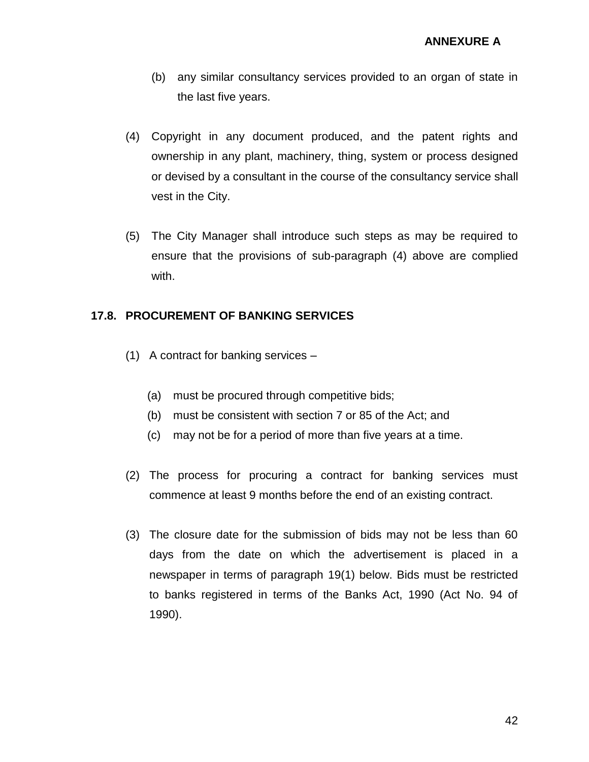- (b) any similar consultancy services provided to an organ of state in the last five years.
- (4) Copyright in any document produced, and the patent rights and ownership in any plant, machinery, thing, system or process designed or devised by a consultant in the course of the consultancy service shall vest in the City.
- (5) The City Manager shall introduce such steps as may be required to ensure that the provisions of sub-paragraph (4) above are complied with.

### **17.8. PROCUREMENT OF BANKING SERVICES**

- (1) A contract for banking services
	- (a) must be procured through competitive bids;
	- (b) must be consistent with section 7 or 85 of the Act; and
	- (c) may not be for a period of more than five years at a time.
- (2) The process for procuring a contract for banking services must commence at least 9 months before the end of an existing contract.
- (3) The closure date for the submission of bids may not be less than 60 days from the date on which the advertisement is placed in a newspaper in terms of paragraph 19(1) below. Bids must be restricted to banks registered in terms of the Banks Act, 1990 (Act No. 94 of 1990).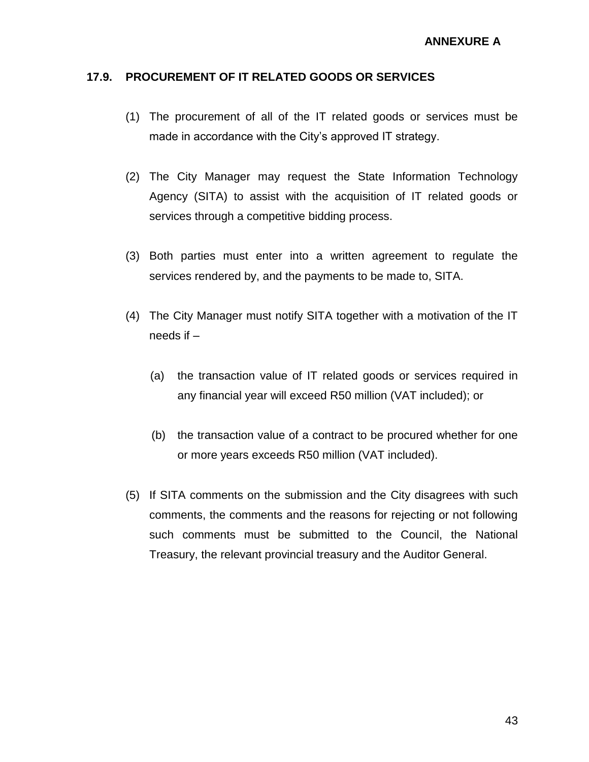#### **17.9. PROCUREMENT OF IT RELATED GOODS OR SERVICES**

- (1) The procurement of all of the IT related goods or services must be made in accordance with the City's approved IT strategy.
- (2) The City Manager may request the State Information Technology Agency (SITA) to assist with the acquisition of IT related goods or services through a competitive bidding process.
- (3) Both parties must enter into a written agreement to regulate the services rendered by, and the payments to be made to, SITA.
- (4) The City Manager must notify SITA together with a motivation of the IT needs if –
	- (a) the transaction value of IT related goods or services required in any financial year will exceed R50 million (VAT included); or
	- (b) the transaction value of a contract to be procured whether for one or more years exceeds R50 million (VAT included).
- (5) If SITA comments on the submission and the City disagrees with such comments, the comments and the reasons for rejecting or not following such comments must be submitted to the Council, the National Treasury, the relevant provincial treasury and the Auditor General.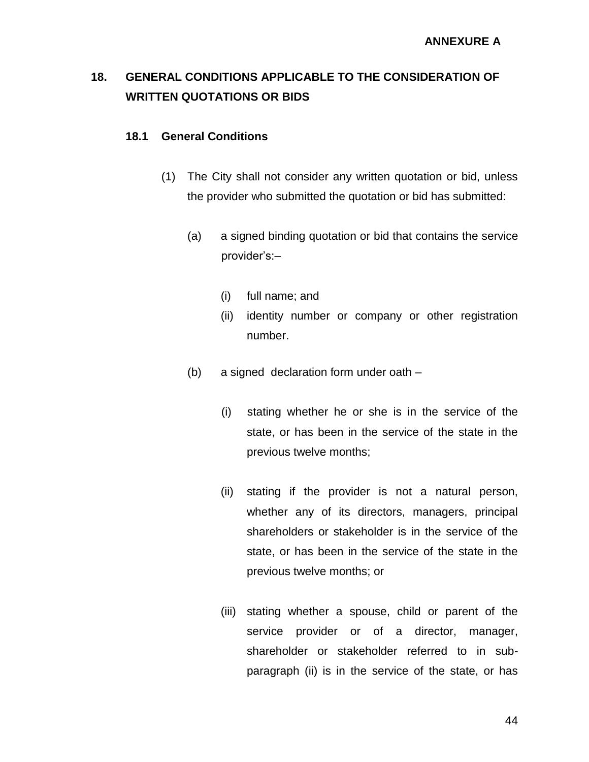# **18. GENERAL CONDITIONS APPLICABLE TO THE CONSIDERATION OF WRITTEN QUOTATIONS OR BIDS**

### **18.1 General Conditions**

- (1) The City shall not consider any written quotation or bid, unless the provider who submitted the quotation or bid has submitted:
	- (a) a signed binding quotation or bid that contains the service provider's:–
		- (i) full name; and
		- (ii) identity number or company or other registration number.
	- (b) a signed declaration form under oath
		- (i) stating whether he or she is in the service of the state, or has been in the service of the state in the previous twelve months;
		- (ii) stating if the provider is not a natural person, whether any of its directors, managers, principal shareholders or stakeholder is in the service of the state, or has been in the service of the state in the previous twelve months; or
		- (iii) stating whether a spouse, child or parent of the service provider or of a director, manager, shareholder or stakeholder referred to in subparagraph (ii) is in the service of the state, or has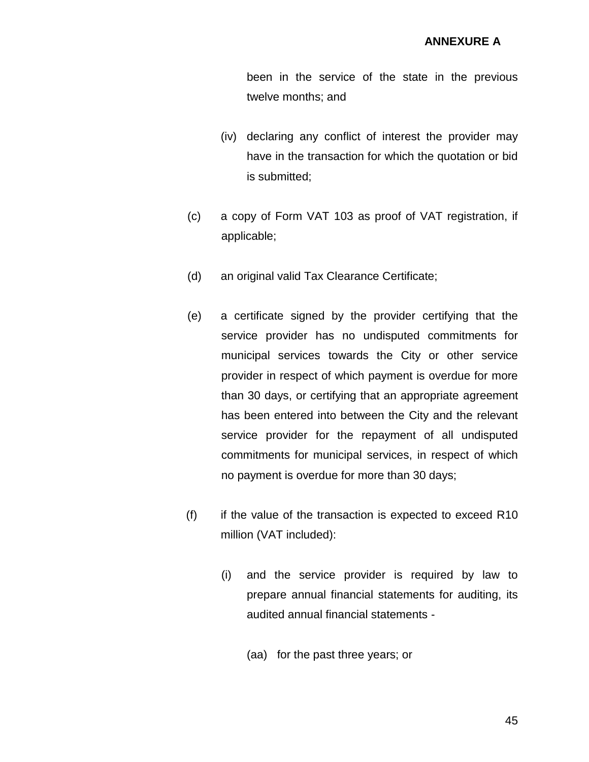been in the service of the state in the previous twelve months; and

- (iv) declaring any conflict of interest the provider may have in the transaction for which the quotation or bid is submitted;
- (c) a copy of Form VAT 103 as proof of VAT registration, if applicable;
- (d) an original valid Tax Clearance Certificate;
- (e) a certificate signed by the provider certifying that the service provider has no undisputed commitments for municipal services towards the City or other service provider in respect of which payment is overdue for more than 30 days, or certifying that an appropriate agreement has been entered into between the City and the relevant service provider for the repayment of all undisputed commitments for municipal services, in respect of which no payment is overdue for more than 30 days;
- $(f)$  if the value of the transaction is expected to exceed R10 million (VAT included):
	- (i) and the service provider is required by law to prepare annual financial statements for auditing, its audited annual financial statements -
		- (aa) for the past three years; or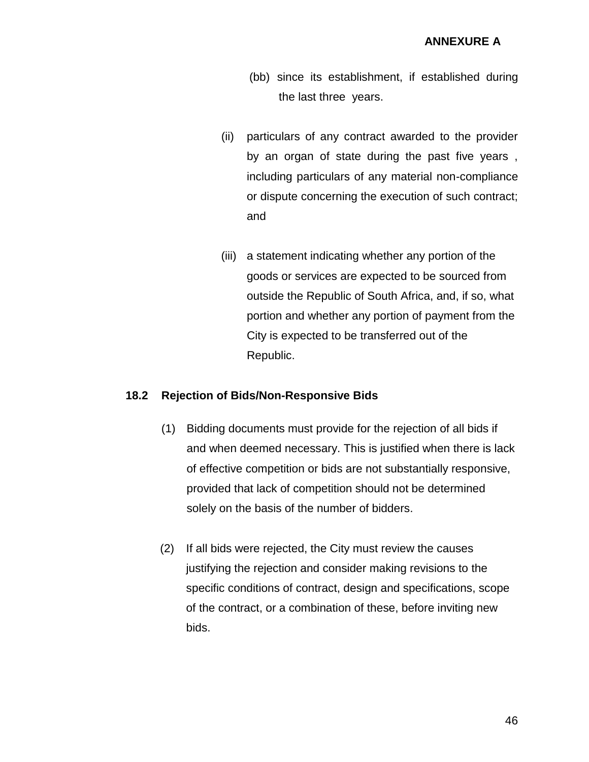- (bb) since its establishment, if established during the last three years.
- (ii) particulars of any contract awarded to the provider by an organ of state during the past five years , including particulars of any material non-compliance or dispute concerning the execution of such contract; and
- (iii) a statement indicating whether any portion of the goods or services are expected to be sourced from outside the Republic of South Africa, and, if so, what portion and whether any portion of payment from the City is expected to be transferred out of the Republic.

#### **18.2 Rejection of Bids/Non-Responsive Bids**

- (1) Bidding documents must provide for the rejection of all bids if and when deemed necessary. This is justified when there is lack of effective competition or bids are not substantially responsive, provided that lack of competition should not be determined solely on the basis of the number of bidders.
- (2) If all bids were rejected, the City must review the causes justifying the rejection and consider making revisions to the specific conditions of contract, design and specifications, scope of the contract, or a combination of these, before inviting new bids.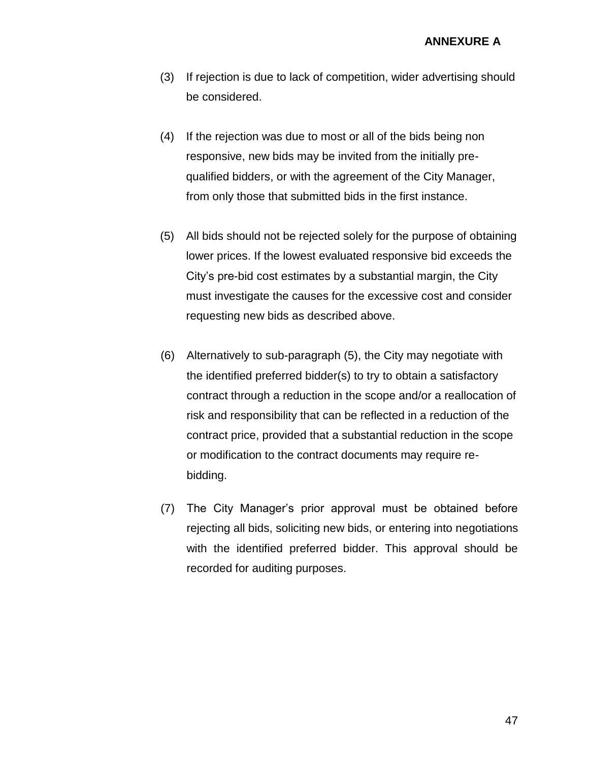- (3) If rejection is due to lack of competition, wider advertising should be considered.
- (4) If the rejection was due to most or all of the bids being non responsive, new bids may be invited from the initially prequalified bidders, or with the agreement of the City Manager, from only those that submitted bids in the first instance.
- (5) All bids should not be rejected solely for the purpose of obtaining lower prices. If the lowest evaluated responsive bid exceeds the City's pre-bid cost estimates by a substantial margin, the City must investigate the causes for the excessive cost and consider requesting new bids as described above.
- (6) Alternatively to sub-paragraph (5), the City may negotiate with the identified preferred bidder(s) to try to obtain a satisfactory contract through a reduction in the scope and/or a reallocation of risk and responsibility that can be reflected in a reduction of the contract price, provided that a substantial reduction in the scope or modification to the contract documents may require rebidding.
- (7) The City Manager's prior approval must be obtained before rejecting all bids, soliciting new bids, or entering into negotiations with the identified preferred bidder. This approval should be recorded for auditing purposes.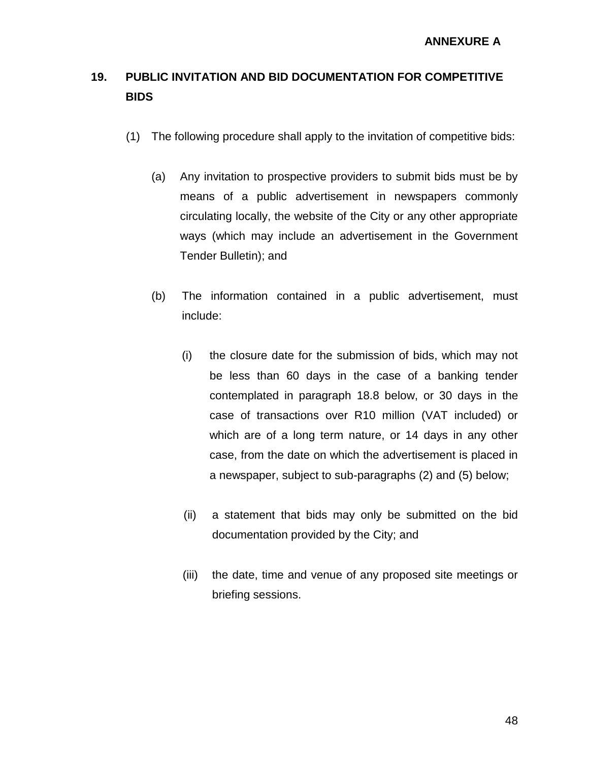# **19. PUBLIC INVITATION AND BID DOCUMENTATION FOR COMPETITIVE BIDS**

- (1) The following procedure shall apply to the invitation of competitive bids:
	- (a) Any invitation to prospective providers to submit bids must be by means of a public advertisement in newspapers commonly circulating locally, the website of the City or any other appropriate ways (which may include an advertisement in the Government Tender Bulletin); and
	- (b) The information contained in a public advertisement, must include:
		- (i) the closure date for the submission of bids, which may not be less than 60 days in the case of a banking tender contemplated in paragraph 18.8 below, or 30 days in the case of transactions over R10 million (VAT included) or which are of a long term nature, or 14 days in any other case, from the date on which the advertisement is placed in a newspaper, subject to sub-paragraphs (2) and (5) below;
		- (ii) a statement that bids may only be submitted on the bid documentation provided by the City; and
		- (iii) the date, time and venue of any proposed site meetings or briefing sessions.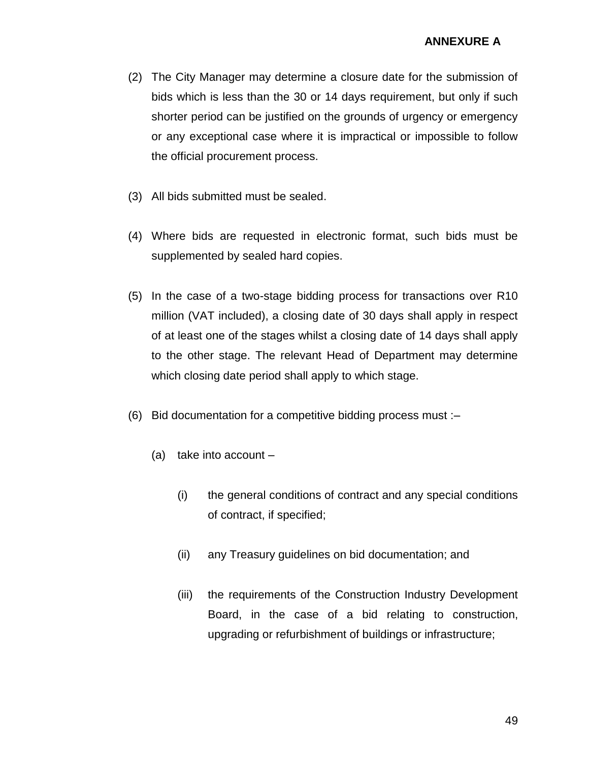- (2) The City Manager may determine a closure date for the submission of bids which is less than the 30 or 14 days requirement, but only if such shorter period can be justified on the grounds of urgency or emergency or any exceptional case where it is impractical or impossible to follow the official procurement process.
- (3) All bids submitted must be sealed.
- (4) Where bids are requested in electronic format, such bids must be supplemented by sealed hard copies.
- (5) In the case of a two-stage bidding process for transactions over R10 million (VAT included), a closing date of 30 days shall apply in respect of at least one of the stages whilst a closing date of 14 days shall apply to the other stage. The relevant Head of Department may determine which closing date period shall apply to which stage.
- (6) Bid documentation for a competitive bidding process must :–
	- (a) take into account
		- (i) the general conditions of contract and any special conditions of contract, if specified;
		- (ii) any Treasury guidelines on bid documentation; and
		- (iii) the requirements of the Construction Industry Development Board, in the case of a bid relating to construction, upgrading or refurbishment of buildings or infrastructure;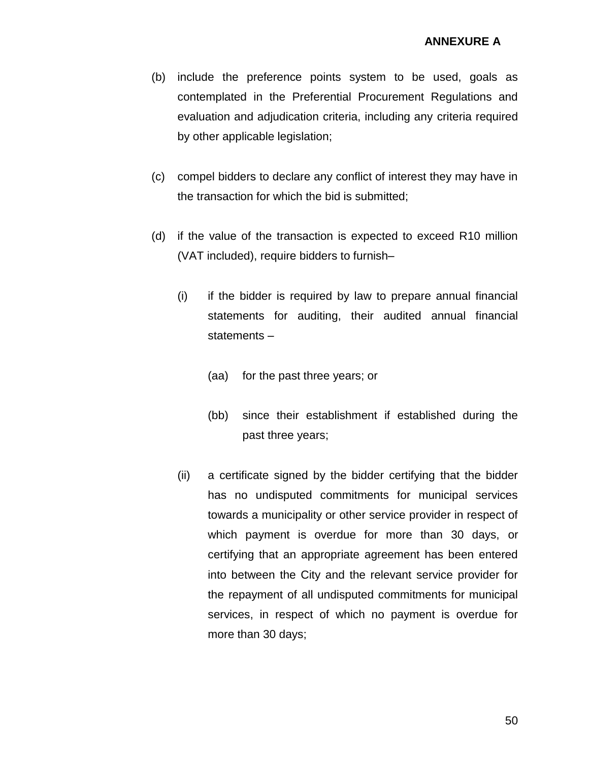### **ANNEXURE A**

- (b) include the preference points system to be used, goals as contemplated in the Preferential Procurement Regulations and evaluation and adjudication criteria, including any criteria required by other applicable legislation;
- (c) compel bidders to declare any conflict of interest they may have in the transaction for which the bid is submitted;
- (d) if the value of the transaction is expected to exceed R10 million (VAT included), require bidders to furnish–
	- (i) if the bidder is required by law to prepare annual financial statements for auditing, their audited annual financial statements –
		- (aa) for the past three years; or
		- (bb) since their establishment if established during the past three years;
	- (ii) a certificate signed by the bidder certifying that the bidder has no undisputed commitments for municipal services towards a municipality or other service provider in respect of which payment is overdue for more than 30 days, or certifying that an appropriate agreement has been entered into between the City and the relevant service provider for the repayment of all undisputed commitments for municipal services, in respect of which no payment is overdue for more than 30 days;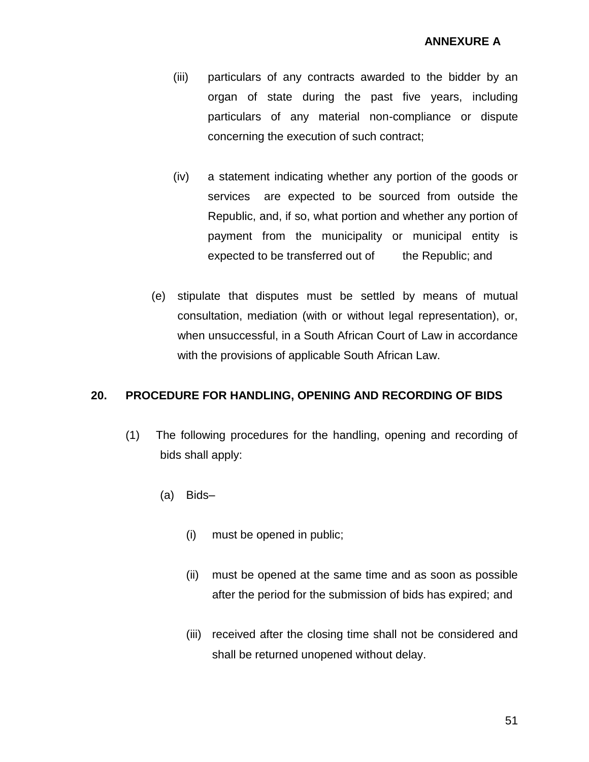- (iii) particulars of any contracts awarded to the bidder by an organ of state during the past five years, including particulars of any material non-compliance or dispute concerning the execution of such contract;
- (iv) a statement indicating whether any portion of the goods or services are expected to be sourced from outside the Republic, and, if so, what portion and whether any portion of payment from the municipality or municipal entity is expected to be transferred out of the Republic; and
- (e) stipulate that disputes must be settled by means of mutual consultation, mediation (with or without legal representation), or, when unsuccessful, in a South African Court of Law in accordance with the provisions of applicable South African Law.

### **20. PROCEDURE FOR HANDLING, OPENING AND RECORDING OF BIDS**

- (1) The following procedures for the handling, opening and recording of bids shall apply:
	- (a) Bids–
		- (i) must be opened in public;
		- (ii) must be opened at the same time and as soon as possible after the period for the submission of bids has expired; and
		- (iii) received after the closing time shall not be considered and shall be returned unopened without delay.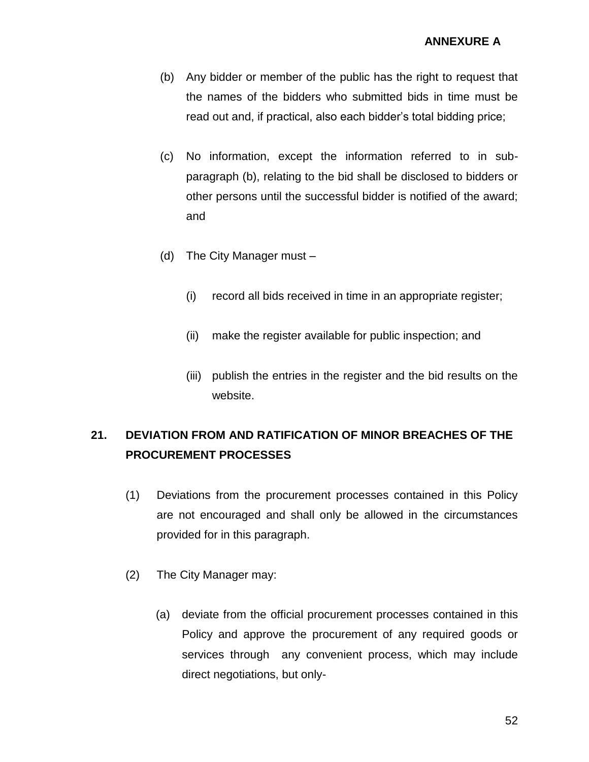- (b) Any bidder or member of the public has the right to request that the names of the bidders who submitted bids in time must be read out and, if practical, also each bidder's total bidding price;
- (c) No information, except the information referred to in subparagraph (b), relating to the bid shall be disclosed to bidders or other persons until the successful bidder is notified of the award; and
- (d) The City Manager must
	- (i) record all bids received in time in an appropriate register;
	- (ii) make the register available for public inspection; and
	- (iii) publish the entries in the register and the bid results on the website.

## **21. DEVIATION FROM AND RATIFICATION OF MINOR BREACHES OF THE PROCUREMENT PROCESSES**

- (1) Deviations from the procurement processes contained in this Policy are not encouraged and shall only be allowed in the circumstances provided for in this paragraph.
- (2) The City Manager may:
	- (a) deviate from the official procurement processes contained in this Policy and approve the procurement of any required goods or services through any convenient process, which may include direct negotiations, but only-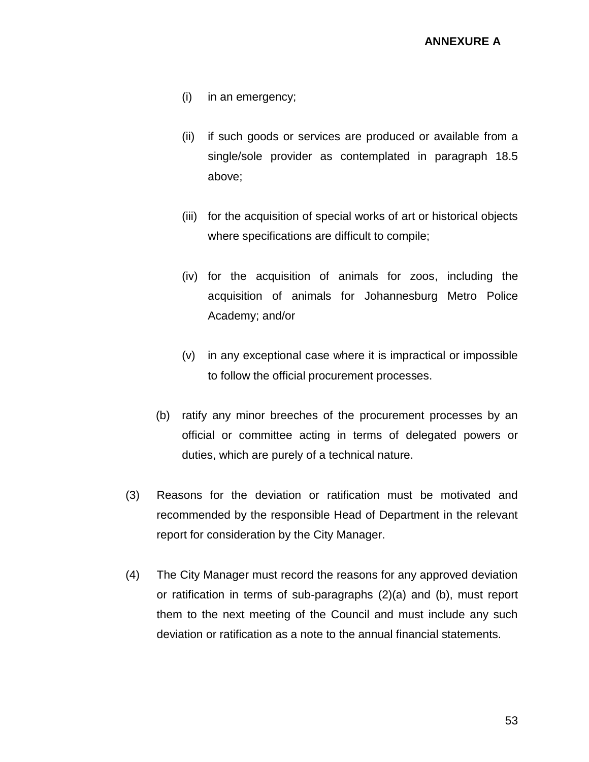- (i) in an emergency;
- (ii) if such goods or services are produced or available from a single/sole provider as contemplated in paragraph 18.5 above;
- (iii) for the acquisition of special works of art or historical objects where specifications are difficult to compile;
- (iv) for the acquisition of animals for zoos, including the acquisition of animals for Johannesburg Metro Police Academy; and/or
- (v) in any exceptional case where it is impractical or impossible to follow the official procurement processes.
- (b) ratify any minor breeches of the procurement processes by an official or committee acting in terms of delegated powers or duties, which are purely of a technical nature.
- (3) Reasons for the deviation or ratification must be motivated and recommended by the responsible Head of Department in the relevant report for consideration by the City Manager.
- (4) The City Manager must record the reasons for any approved deviation or ratification in terms of sub-paragraphs (2)(a) and (b), must report them to the next meeting of the Council and must include any such deviation or ratification as a note to the annual financial statements.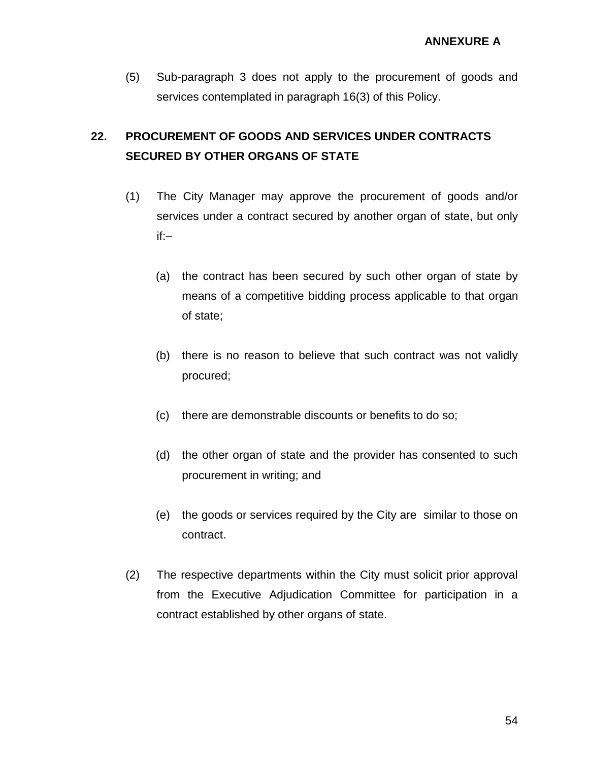(5) Sub-paragraph 3 does not apply to the procurement of goods and services contemplated in paragraph 16(3) of this Policy.

# **22. PROCUREMENT OF GOODS AND SERVICES UNDER CONTRACTS SECURED BY OTHER ORGANS OF STATE**

- (1) The City Manager may approve the procurement of goods and/or services under a contract secured by another organ of state, but only if:–
	- (a) the contract has been secured by such other organ of state by means of a competitive bidding process applicable to that organ of state;
	- (b) there is no reason to believe that such contract was not validly procured;
	- (c) there are demonstrable discounts or benefits to do so;
	- (d) the other organ of state and the provider has consented to such procurement in writing; and
	- (e) the goods or services required by the City are similar to those on contract.
- (2) The respective departments within the City must solicit prior approval from the Executive Adjudication Committee for participation in a contract established by other organs of state.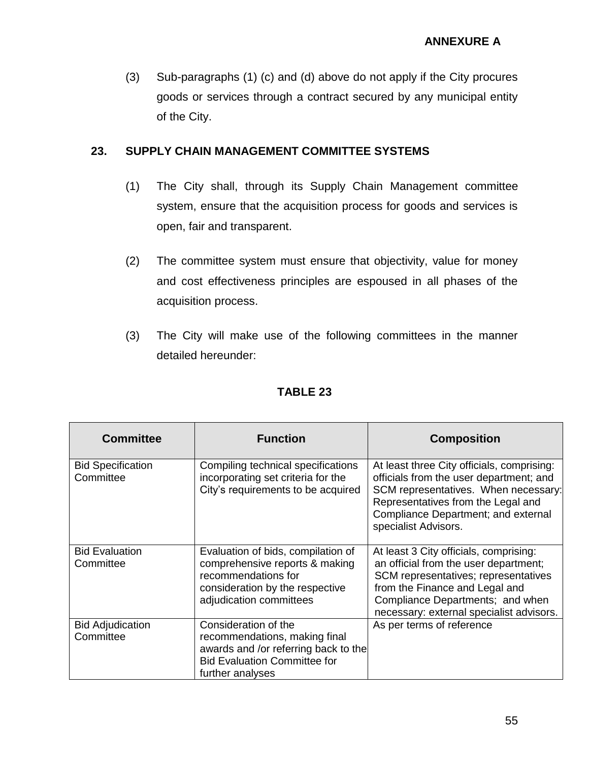(3) Sub-paragraphs (1) (c) and (d) above do not apply if the City procures goods or services through a contract secured by any municipal entity of the City.

### **23. SUPPLY CHAIN MANAGEMENT COMMITTEE SYSTEMS**

- (1) The City shall, through its Supply Chain Management committee system, ensure that the acquisition process for goods and services is open, fair and transparent.
- (2) The committee system must ensure that objectivity, value for money and cost effectiveness principles are espoused in all phases of the acquisition process.
- (3) The City will make use of the following committees in the manner detailed hereunder:

| <b>Committee</b>                      | <b>Function</b>                                                                                                                                           | <b>Composition</b>                                                                                                                                                                                                                        |
|---------------------------------------|-----------------------------------------------------------------------------------------------------------------------------------------------------------|-------------------------------------------------------------------------------------------------------------------------------------------------------------------------------------------------------------------------------------------|
| <b>Bid Specification</b><br>Committee | Compiling technical specifications<br>incorporating set criteria for the<br>City's requirements to be acquired                                            | At least three City officials, comprising:<br>officials from the user department; and<br>SCM representatives. When necessary:<br>Representatives from the Legal and<br>Compliance Department; and external<br>specialist Advisors.        |
| <b>Bid Evaluation</b><br>Committee    | Evaluation of bids, compilation of<br>comprehensive reports & making<br>recommendations for<br>consideration by the respective<br>adjudication committees | At least 3 City officials, comprising:<br>an official from the user department;<br>SCM representatives; representatives<br>from the Finance and Legal and<br>Compliance Departments; and when<br>necessary: external specialist advisors. |
| <b>Bid Adjudication</b><br>Committee  | Consideration of the<br>recommendations, making final<br>awards and /or referring back to the<br><b>Bid Evaluation Committee for</b><br>further analyses  | As per terms of reference                                                                                                                                                                                                                 |

## **TABLE 23**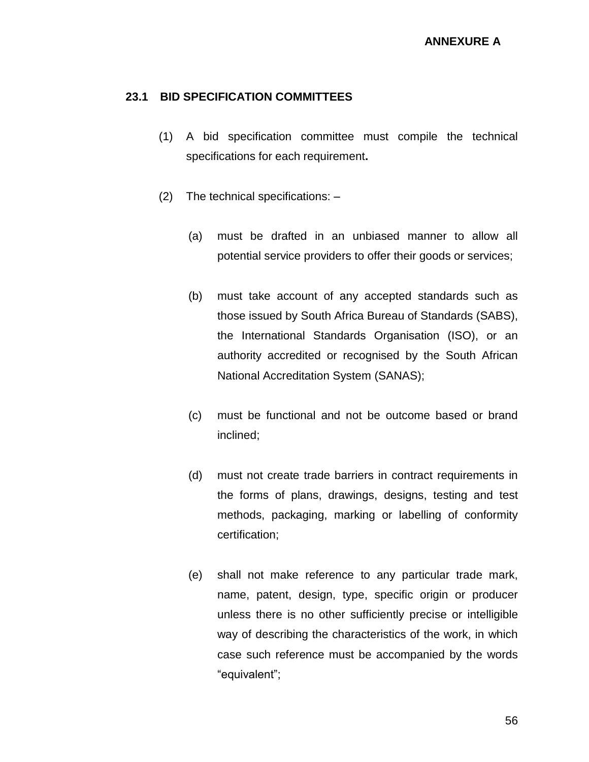#### **23.1 BID SPECIFICATION COMMITTEES**

- (1) A bid specification committee must compile the technical specifications for each requirement**.**
- (2) The technical specifications:
	- (a) must be drafted in an unbiased manner to allow all potential service providers to offer their goods or services;
	- (b) must take account of any accepted standards such as those issued by South Africa Bureau of Standards (SABS), the International Standards Organisation (ISO), or an authority accredited or recognised by the South African National Accreditation System (SANAS);
	- (c) must be functional and not be outcome based or brand inclined;
	- (d) must not create trade barriers in contract requirements in the forms of plans, drawings, designs, testing and test methods, packaging, marking or labelling of conformity certification;
	- (e) shall not make reference to any particular trade mark, name, patent, design, type, specific origin or producer unless there is no other sufficiently precise or intelligible way of describing the characteristics of the work, in which case such reference must be accompanied by the words "equivalent";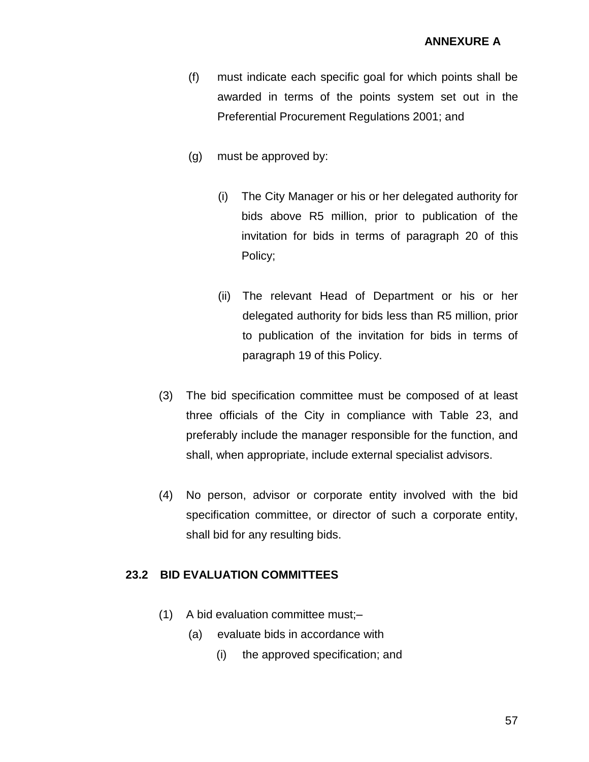- (f) must indicate each specific goal for which points shall be awarded in terms of the points system set out in the Preferential Procurement Regulations 2001; and
- (g) must be approved by:
	- (i) The City Manager or his or her delegated authority for bids above R5 million, prior to publication of the invitation for bids in terms of paragraph 20 of this Policy;
	- (ii) The relevant Head of Department or his or her delegated authority for bids less than R5 million, prior to publication of the invitation for bids in terms of paragraph 19 of this Policy.
- (3) The bid specification committee must be composed of at least three officials of the City in compliance with Table 23, and preferably include the manager responsible for the function, and shall, when appropriate, include external specialist advisors.
- (4) No person, advisor or corporate entity involved with the bid specification committee, or director of such a corporate entity, shall bid for any resulting bids.

### **23.2 BID EVALUATION COMMITTEES**

- (1) A bid evaluation committee must;–
	- (a) evaluate bids in accordance with
		- (i) the approved specification; and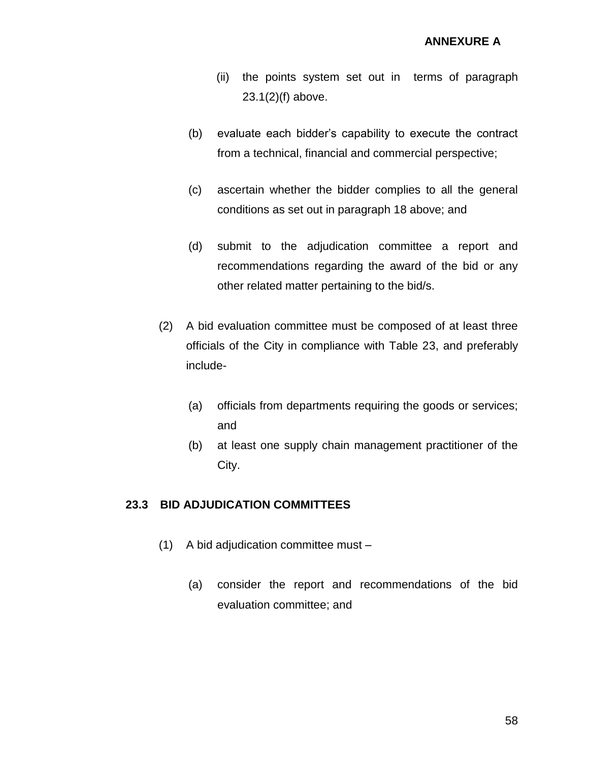- (ii) the points system set out in terms of paragraph  $23.1(2)(f)$  above.
- (b) evaluate each bidder's capability to execute the contract from a technical, financial and commercial perspective;
- (c) ascertain whether the bidder complies to all the general conditions as set out in paragraph 18 above; and
- (d) submit to the adjudication committee a report and recommendations regarding the award of the bid or any other related matter pertaining to the bid/s.
- (2) A bid evaluation committee must be composed of at least three officials of the City in compliance with Table 23, and preferably include-
	- (a) officials from departments requiring the goods or services; and
	- (b) at least one supply chain management practitioner of the City.

### **23.3 BID ADJUDICATION COMMITTEES**

- (1) A bid adjudication committee must
	- (a) consider the report and recommendations of the bid evaluation committee; and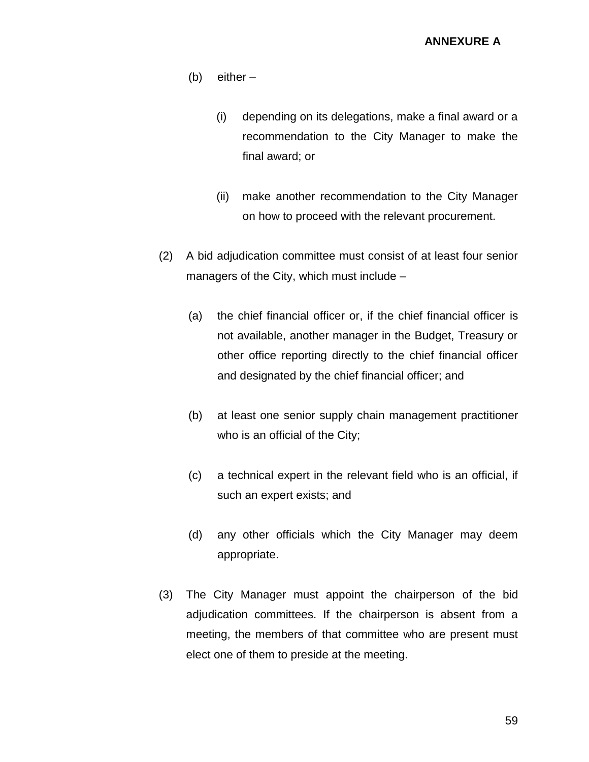- (b) either
	- (i) depending on its delegations, make a final award or a recommendation to the City Manager to make the final award; or
	- (ii) make another recommendation to the City Manager on how to proceed with the relevant procurement.
- (2) A bid adjudication committee must consist of at least four senior managers of the City, which must include –
	- (a) the chief financial officer or, if the chief financial officer is not available, another manager in the Budget, Treasury or other office reporting directly to the chief financial officer and designated by the chief financial officer; and
	- (b) at least one senior supply chain management practitioner who is an official of the City;
	- (c) a technical expert in the relevant field who is an official, if such an expert exists; and
	- (d) any other officials which the City Manager may deem appropriate.
- (3) The City Manager must appoint the chairperson of the bid adjudication committees. If the chairperson is absent from a meeting, the members of that committee who are present must elect one of them to preside at the meeting.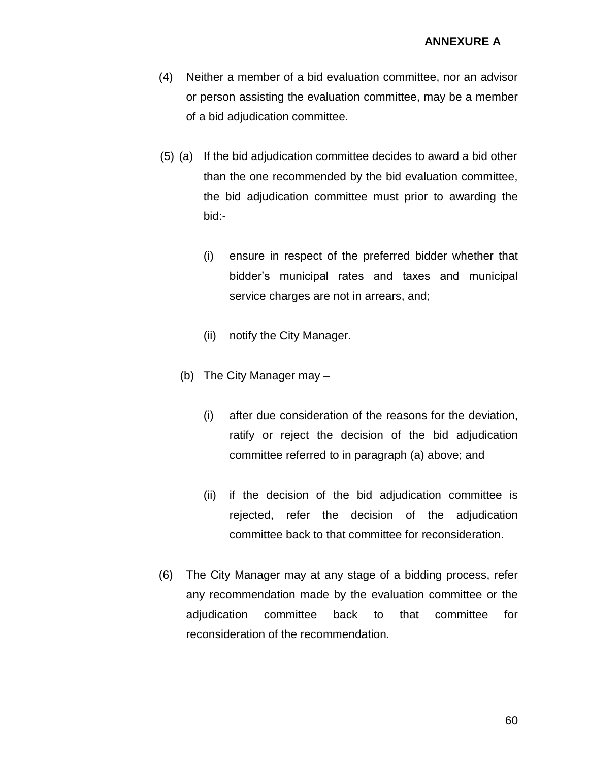#### **ANNEXURE A**

- (4) Neither a member of a bid evaluation committee, nor an advisor or person assisting the evaluation committee, may be a member of a bid adjudication committee.
- (5) (a) If the bid adjudication committee decides to award a bid other than the one recommended by the bid evaluation committee, the bid adjudication committee must prior to awarding the bid:-
	- (i) ensure in respect of the preferred bidder whether that bidder's municipal rates and taxes and municipal service charges are not in arrears, and;
	- (ii) notify the City Manager.
	- (b) The City Manager may
		- (i) after due consideration of the reasons for the deviation, ratify or reject the decision of the bid adjudication committee referred to in paragraph (a) above; and
		- (ii) if the decision of the bid adjudication committee is rejected, refer the decision of the adjudication committee back to that committee for reconsideration.
- (6) The City Manager may at any stage of a bidding process, refer any recommendation made by the evaluation committee or the adjudication committee back to that committee for reconsideration of the recommendation.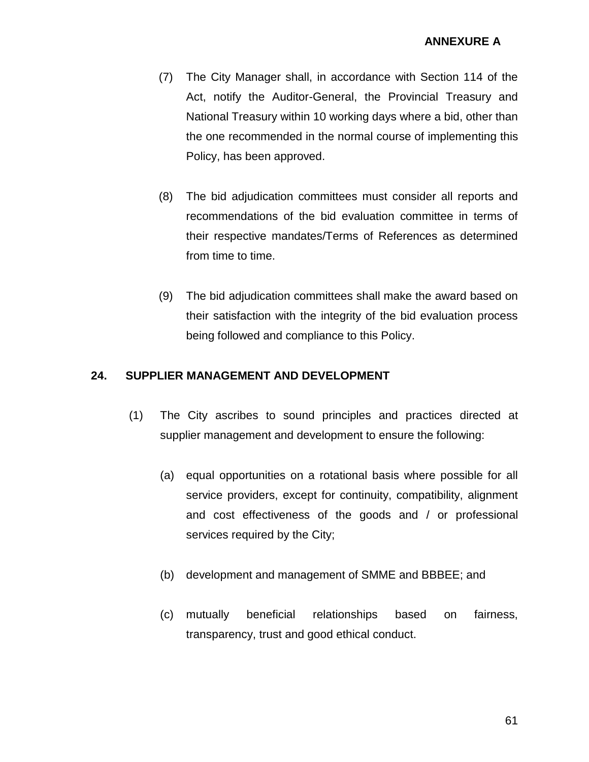- (7) The City Manager shall, in accordance with Section 114 of the Act, notify the Auditor-General, the Provincial Treasury and National Treasury within 10 working days where a bid, other than the one recommended in the normal course of implementing this Policy, has been approved.
- (8) The bid adjudication committees must consider all reports and recommendations of the bid evaluation committee in terms of their respective mandates/Terms of References as determined from time to time.
- (9) The bid adjudication committees shall make the award based on their satisfaction with the integrity of the bid evaluation process being followed and compliance to this Policy.

## **24. SUPPLIER MANAGEMENT AND DEVELOPMENT**

- (1) The City ascribes to sound principles and practices directed at supplier management and development to ensure the following:
	- (a) equal opportunities on a rotational basis where possible for all service providers, except for continuity, compatibility, alignment and cost effectiveness of the goods and / or professional services required by the City;
	- (b) development and management of SMME and BBBEE; and
	- (c) mutually beneficial relationships based on fairness, transparency, trust and good ethical conduct.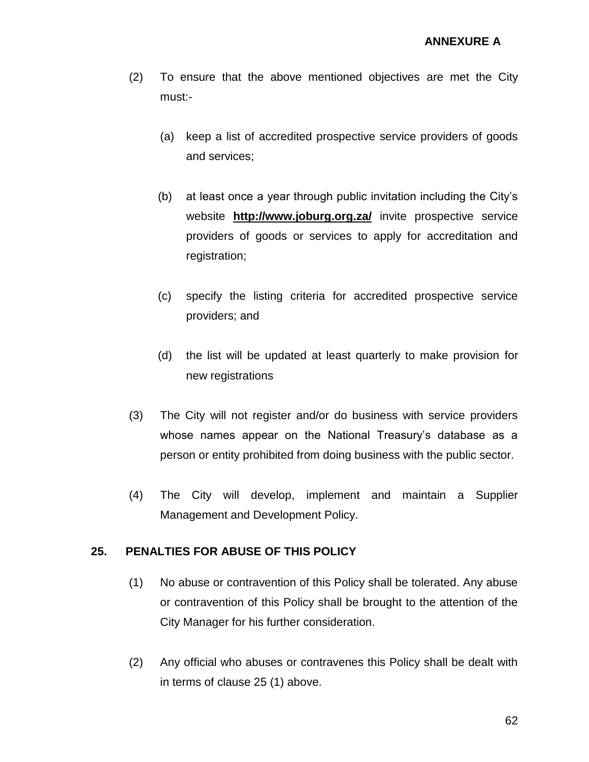- (2) To ensure that the above mentioned objectives are met the City must:-
	- (a) keep a list of accredited prospective service providers of goods and services;
	- (b) at least once a year through public invitation including the City's website **<http://www.joburg.org.za/>** invite prospective service providers of goods or services to apply for accreditation and registration;
	- (c) specify the listing criteria for accredited prospective service providers; and
	- (d) the list will be updated at least quarterly to make provision for new registrations
- (3) The City will not register and/or do business with service providers whose names appear on the National Treasury's database as a person or entity prohibited from doing business with the public sector.
- (4) The City will develop, implement and maintain a Supplier Management and Development Policy.

### **25. PENALTIES FOR ABUSE OF THIS POLICY**

- (1) No abuse or contravention of this Policy shall be tolerated. Any abuse or contravention of this Policy shall be brought to the attention of the City Manager for his further consideration.
- (2) Any official who abuses or contravenes this Policy shall be dealt with in terms of clause 25 (1) above.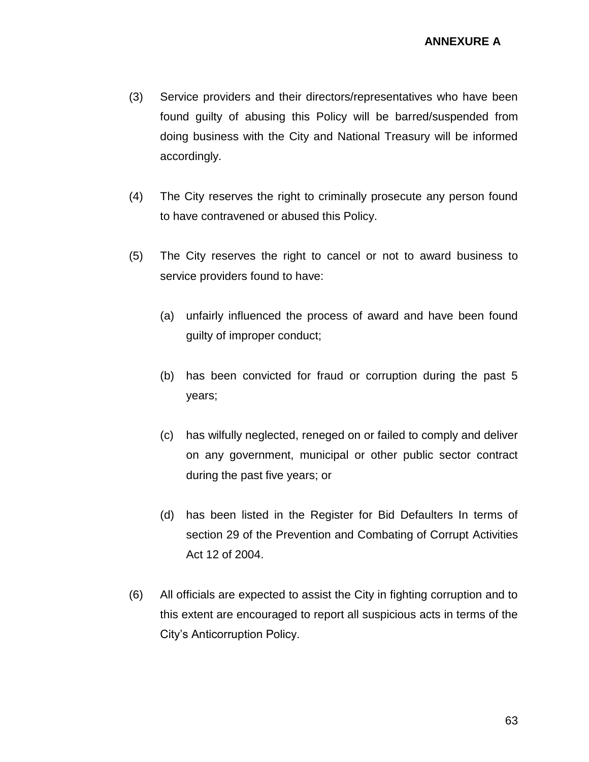- (3) Service providers and their directors/representatives who have been found guilty of abusing this Policy will be barred/suspended from doing business with the City and National Treasury will be informed accordingly.
- (4) The City reserves the right to criminally prosecute any person found to have contravened or abused this Policy.
- (5) The City reserves the right to cancel or not to award business to service providers found to have:
	- (a) unfairly influenced the process of award and have been found guilty of improper conduct;
	- (b) has been convicted for fraud or corruption during the past 5 years;
	- (c) has wilfully neglected, reneged on or failed to comply and deliver on any government, municipal or other public sector contract during the past five years; or
	- (d) has been listed in the Register for Bid Defaulters In terms of section 29 of the Prevention and Combating of Corrupt Activities Act 12 of 2004.
- (6) All officials are expected to assist the City in fighting corruption and to this extent are encouraged to report all suspicious acts in terms of the City's Anticorruption Policy.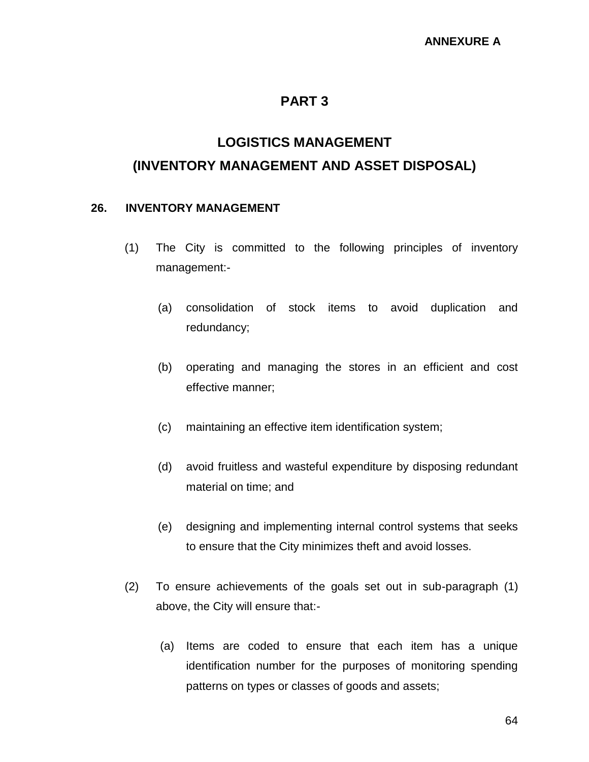## **PART 3**

# **LOGISTICS MANAGEMENT (INVENTORY MANAGEMENT AND ASSET DISPOSAL)**

### **26. INVENTORY MANAGEMENT**

- (1) The City is committed to the following principles of inventory management:-
	- (a) consolidation of stock items to avoid duplication and redundancy;
	- (b) operating and managing the stores in an efficient and cost effective manner;
	- (c) maintaining an effective item identification system;
	- (d) avoid fruitless and wasteful expenditure by disposing redundant material on time; and
	- (e) designing and implementing internal control systems that seeks to ensure that the City minimizes theft and avoid losses.
- (2) To ensure achievements of the goals set out in sub-paragraph (1) above, the City will ensure that:-
	- (a) Items are coded to ensure that each item has a unique identification number for the purposes of monitoring spending patterns on types or classes of goods and assets;

64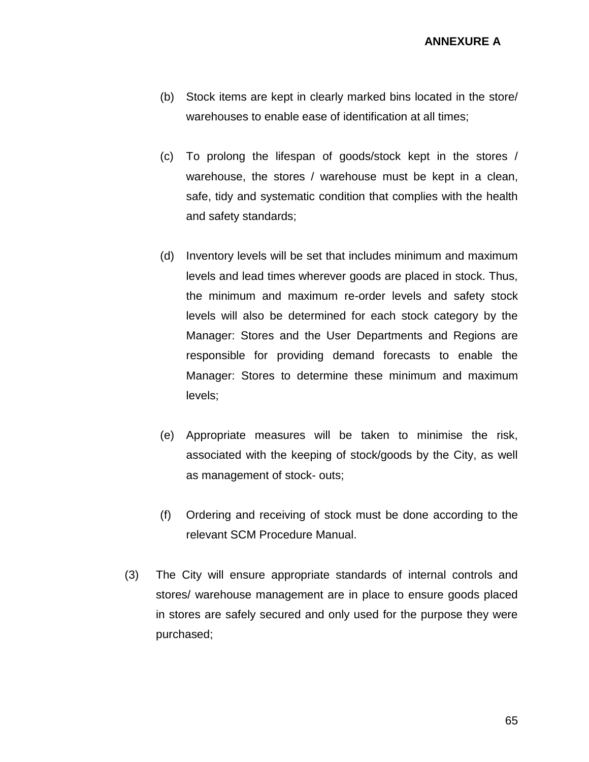**ANNEXURE A**

- (b) Stock items are kept in clearly marked bins located in the store/ warehouses to enable ease of identification at all times;
- (c) To prolong the lifespan of goods/stock kept in the stores / warehouse, the stores / warehouse must be kept in a clean, safe, tidy and systematic condition that complies with the health and safety standards;
- (d) Inventory levels will be set that includes minimum and maximum levels and lead times wherever goods are placed in stock. Thus, the minimum and maximum re-order levels and safety stock levels will also be determined for each stock category by the Manager: Stores and the User Departments and Regions are responsible for providing demand forecasts to enable the Manager: Stores to determine these minimum and maximum levels;
- (e) Appropriate measures will be taken to minimise the risk, associated with the keeping of stock/goods by the City, as well as management of stock- outs;
- (f) Ordering and receiving of stock must be done according to the relevant SCM Procedure Manual.
- (3) The City will ensure appropriate standards of internal controls and stores/ warehouse management are in place to ensure goods placed in stores are safely secured and only used for the purpose they were purchased;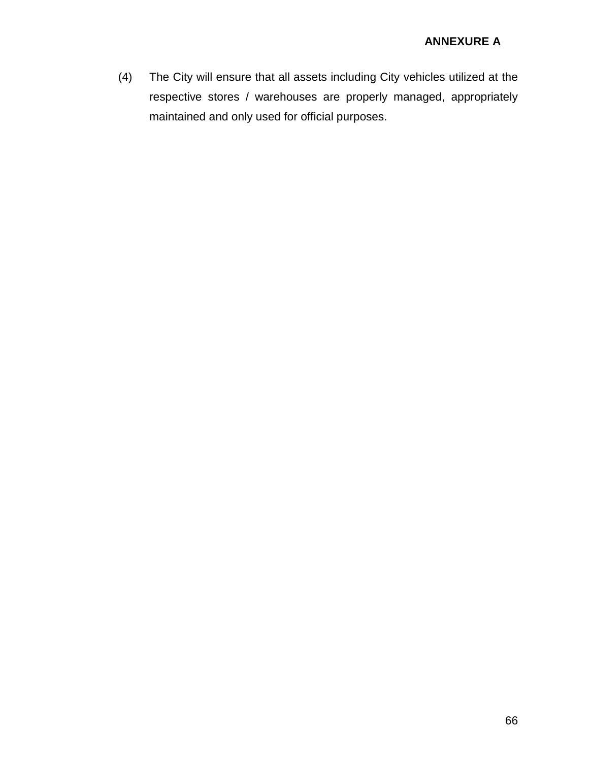(4) The City will ensure that all assets including City vehicles utilized at the respective stores / warehouses are properly managed, appropriately maintained and only used for official purposes.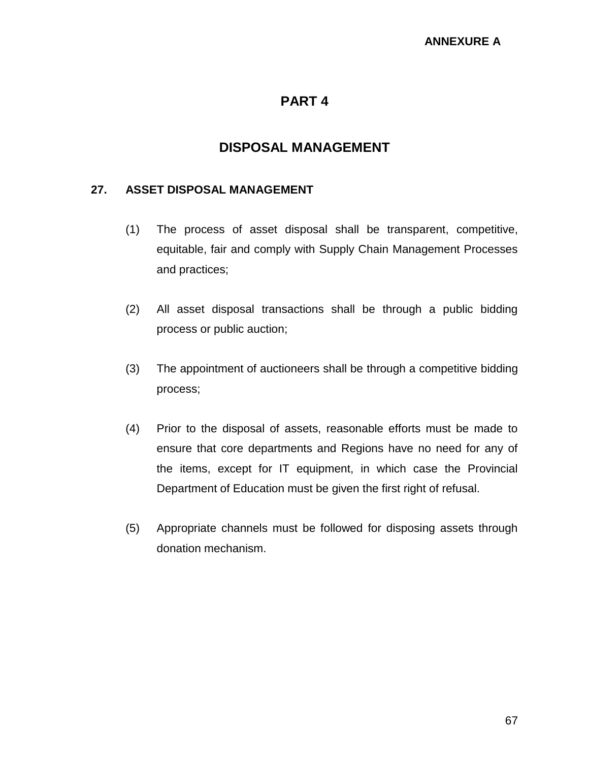## **PART 4**

## **DISPOSAL MANAGEMENT**

#### **27. ASSET DISPOSAL MANAGEMENT**

- (1) The process of asset disposal shall be transparent, competitive, equitable, fair and comply with Supply Chain Management Processes and practices;
- (2) All asset disposal transactions shall be through a public bidding process or public auction;
- (3) The appointment of auctioneers shall be through a competitive bidding process;
- (4) Prior to the disposal of assets, reasonable efforts must be made to ensure that core departments and Regions have no need for any of the items, except for IT equipment, in which case the Provincial Department of Education must be given the first right of refusal.
- (5) Appropriate channels must be followed for disposing assets through donation mechanism.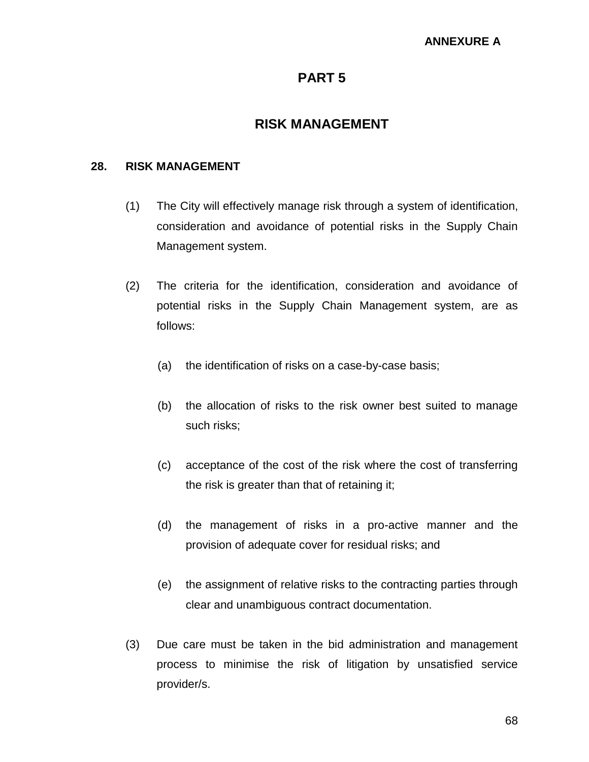## **PART 5**

## **RISK MANAGEMENT**

### **28. RISK MANAGEMENT**

- (1) The City will effectively manage risk through a system of identification, consideration and avoidance of potential risks in the Supply Chain Management system.
- (2) The criteria for the identification, consideration and avoidance of potential risks in the Supply Chain Management system, are as follows:
	- (a) the identification of risks on a case-by-case basis;
	- (b) the allocation of risks to the risk owner best suited to manage such risks;
	- (c) acceptance of the cost of the risk where the cost of transferring the risk is greater than that of retaining it;
	- (d) the management of risks in a pro-active manner and the provision of adequate cover for residual risks; and
	- (e) the assignment of relative risks to the contracting parties through clear and unambiguous contract documentation.
- (3) Due care must be taken in the bid administration and management process to minimise the risk of litigation by unsatisfied service provider/s.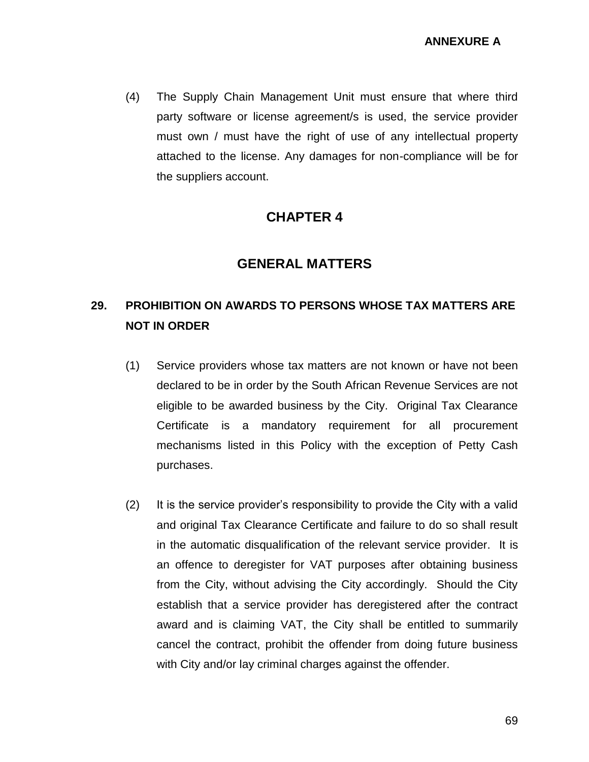(4) The Supply Chain Management Unit must ensure that where third party software or license agreement/s is used, the service provider must own / must have the right of use of any intellectual property attached to the license. Any damages for non-compliance will be for the suppliers account.

## **CHAPTER 4**

## **GENERAL MATTERS**

## **29. PROHIBITION ON AWARDS TO PERSONS WHOSE TAX MATTERS ARE NOT IN ORDER**

- (1) Service providers whose tax matters are not known or have not been declared to be in order by the South African Revenue Services are not eligible to be awarded business by the City. Original Tax Clearance Certificate is a mandatory requirement for all procurement mechanisms listed in this Policy with the exception of Petty Cash purchases.
- (2) It is the service provider's responsibility to provide the City with a valid and original Tax Clearance Certificate and failure to do so shall result in the automatic disqualification of the relevant service provider. It is an offence to deregister for VAT purposes after obtaining business from the City, without advising the City accordingly. Should the City establish that a service provider has deregistered after the contract award and is claiming VAT, the City shall be entitled to summarily cancel the contract, prohibit the offender from doing future business with City and/or lay criminal charges against the offender.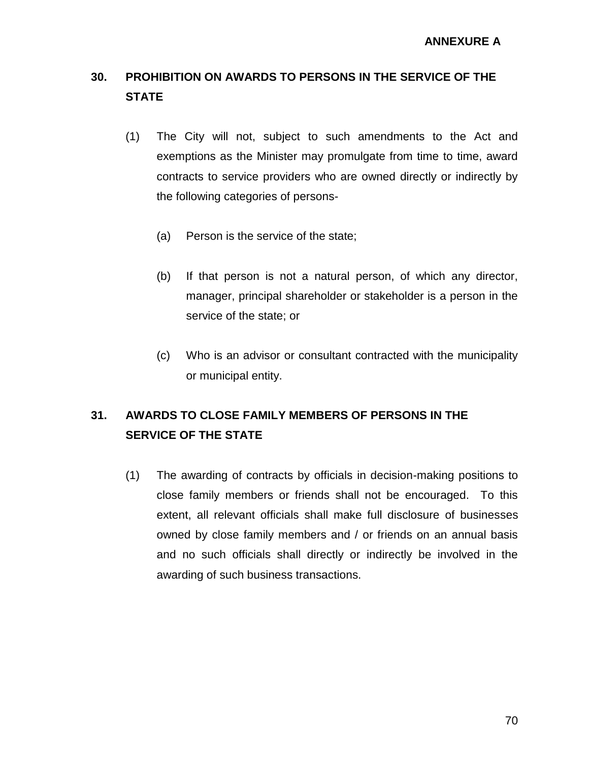# **30. PROHIBITION ON AWARDS TO PERSONS IN THE SERVICE OF THE STATE**

- (1) The City will not, subject to such amendments to the Act and exemptions as the Minister may promulgate from time to time, award contracts to service providers who are owned directly or indirectly by the following categories of persons-
	- (a) Person is the service of the state;
	- (b) If that person is not a natural person, of which any director, manager, principal shareholder or stakeholder is a person in the service of the state; or
	- (c) Who is an advisor or consultant contracted with the municipality or municipal entity.

# **31. AWARDS TO CLOSE FAMILY MEMBERS OF PERSONS IN THE SERVICE OF THE STATE**

(1) The awarding of contracts by officials in decision-making positions to close family members or friends shall not be encouraged. To this extent, all relevant officials shall make full disclosure of businesses owned by close family members and / or friends on an annual basis and no such officials shall directly or indirectly be involved in the awarding of such business transactions.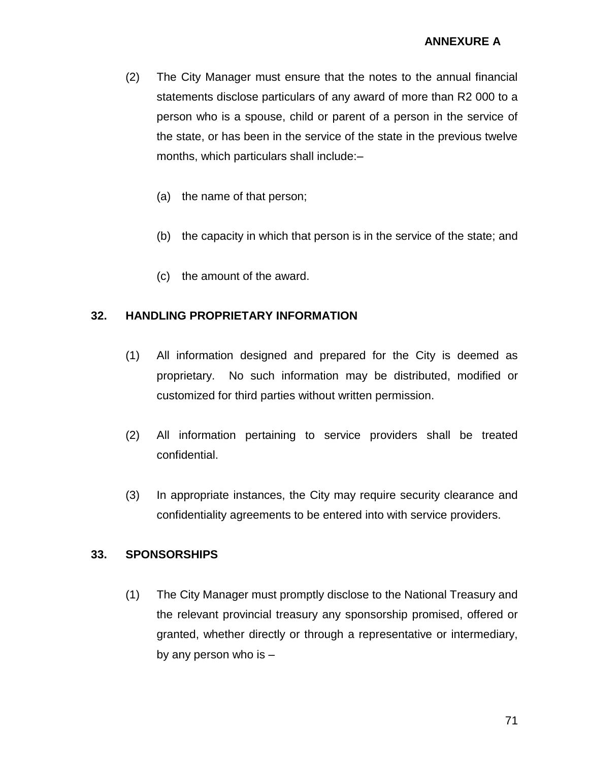- (2) The City Manager must ensure that the notes to the annual financial statements disclose particulars of any award of more than R2 000 to a person who is a spouse, child or parent of a person in the service of the state, or has been in the service of the state in the previous twelve months, which particulars shall include:–
	- (a) the name of that person;
	- (b) the capacity in which that person is in the service of the state; and
	- (c) the amount of the award.

### **32. HANDLING PROPRIETARY INFORMATION**

- (1) All information designed and prepared for the City is deemed as proprietary. No such information may be distributed, modified or customized for third parties without written permission.
- (2) All information pertaining to service providers shall be treated confidential.
- (3) In appropriate instances, the City may require security clearance and confidentiality agreements to be entered into with service providers.

### **33. SPONSORSHIPS**

(1) The City Manager must promptly disclose to the National Treasury and the relevant provincial treasury any sponsorship promised, offered or granted, whether directly or through a representative or intermediary, by any person who is –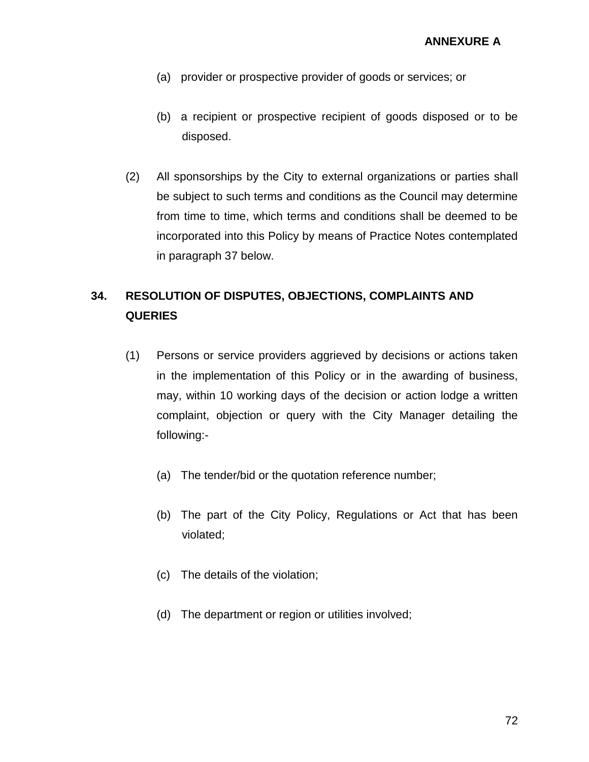- (a) provider or prospective provider of goods or services; or
- (b) a recipient or prospective recipient of goods disposed or to be disposed.
- (2) All sponsorships by the City to external organizations or parties shall be subject to such terms and conditions as the Council may determine from time to time, which terms and conditions shall be deemed to be incorporated into this Policy by means of Practice Notes contemplated in paragraph 37 below.

# **34. RESOLUTION OF DISPUTES, OBJECTIONS, COMPLAINTS AND QUERIES**

- (1) Persons or service providers aggrieved by decisions or actions taken in the implementation of this Policy or in the awarding of business, may, within 10 working days of the decision or action lodge a written complaint, objection or query with the City Manager detailing the following:-
	- (a) The tender/bid or the quotation reference number;
	- (b) The part of the City Policy, Regulations or Act that has been violated;
	- (c) The details of the violation;
	- (d) The department or region or utilities involved;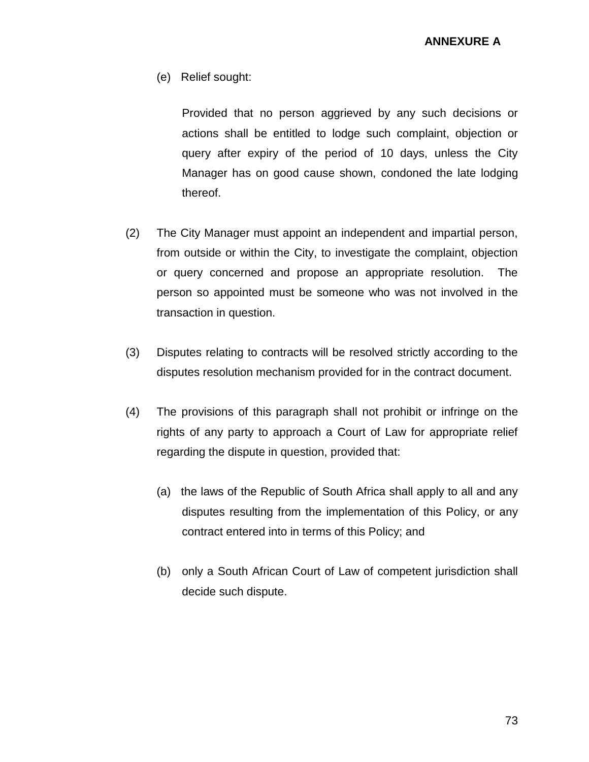(e) Relief sought:

Provided that no person aggrieved by any such decisions or actions shall be entitled to lodge such complaint, objection or query after expiry of the period of 10 days, unless the City Manager has on good cause shown, condoned the late lodging thereof.

- (2) The City Manager must appoint an independent and impartial person, from outside or within the City, to investigate the complaint, objection or query concerned and propose an appropriate resolution. The person so appointed must be someone who was not involved in the transaction in question.
- (3) Disputes relating to contracts will be resolved strictly according to the disputes resolution mechanism provided for in the contract document.
- (4) The provisions of this paragraph shall not prohibit or infringe on the rights of any party to approach a Court of Law for appropriate relief regarding the dispute in question, provided that:
	- (a) the laws of the Republic of South Africa shall apply to all and any disputes resulting from the implementation of this Policy, or any contract entered into in terms of this Policy; and
	- (b) only a South African Court of Law of competent jurisdiction shall decide such dispute.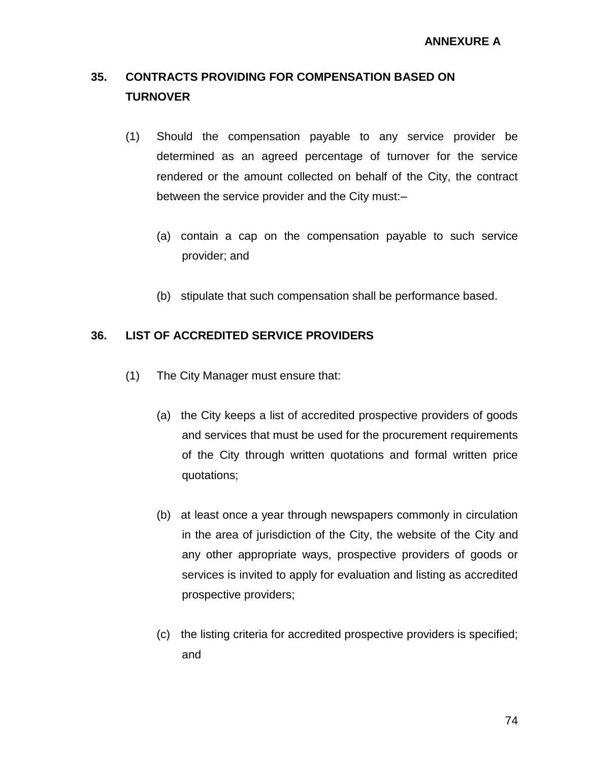# **35. CONTRACTS PROVIDING FOR COMPENSATION BASED ON TURNOVER**

- (1) Should the compensation payable to any service provider be determined as an agreed percentage of turnover for the service rendered or the amount collected on behalf of the City, the contract between the service provider and the City must:–
	- (a) contain a cap on the compensation payable to such service provider; and
	- (b) stipulate that such compensation shall be performance based.

## **36. LIST OF ACCREDITED SERVICE PROVIDERS**

- (1) The City Manager must ensure that:
	- (a) the City keeps a list of accredited prospective providers of goods and services that must be used for the procurement requirements of the City through written quotations and formal written price quotations;
	- (b) at least once a year through newspapers commonly in circulation in the area of jurisdiction of the City, the website of the City and any other appropriate ways, prospective providers of goods or services is invited to apply for evaluation and listing as accredited prospective providers;
	- (c) the listing criteria for accredited prospective providers is specified; and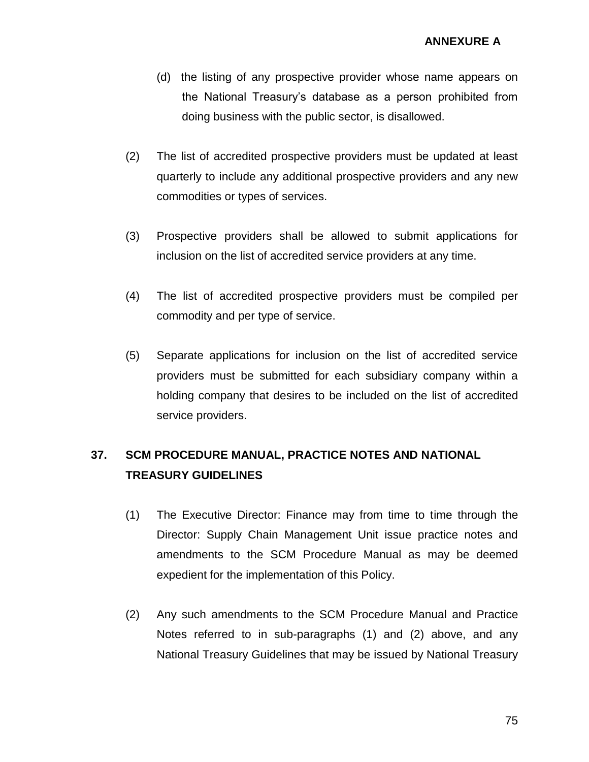- (d) the listing of any prospective provider whose name appears on the National Treasury's database as a person prohibited from doing business with the public sector, is disallowed.
- (2) The list of accredited prospective providers must be updated at least quarterly to include any additional prospective providers and any new commodities or types of services.
- (3) Prospective providers shall be allowed to submit applications for inclusion on the list of accredited service providers at any time.
- (4) The list of accredited prospective providers must be compiled per commodity and per type of service.
- (5) Separate applications for inclusion on the list of accredited service providers must be submitted for each subsidiary company within a holding company that desires to be included on the list of accredited service providers.

# **37. SCM PROCEDURE MANUAL, PRACTICE NOTES AND NATIONAL TREASURY GUIDELINES**

- (1) The Executive Director: Finance may from time to time through the Director: Supply Chain Management Unit issue practice notes and amendments to the SCM Procedure Manual as may be deemed expedient for the implementation of this Policy.
- (2) Any such amendments to the SCM Procedure Manual and Practice Notes referred to in sub-paragraphs (1) and (2) above, and any National Treasury Guidelines that may be issued by National Treasury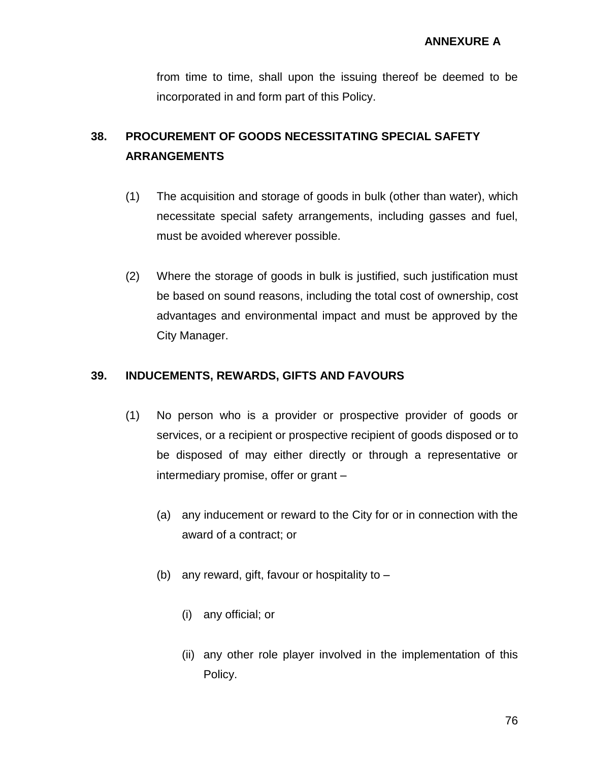from time to time, shall upon the issuing thereof be deemed to be incorporated in and form part of this Policy.

# **38. PROCUREMENT OF GOODS NECESSITATING SPECIAL SAFETY ARRANGEMENTS**

- (1) The acquisition and storage of goods in bulk (other than water), which necessitate special safety arrangements, including gasses and fuel, must be avoided wherever possible.
- (2) Where the storage of goods in bulk is justified, such justification must be based on sound reasons, including the total cost of ownership, cost advantages and environmental impact and must be approved by the City Manager.

# **39. INDUCEMENTS, REWARDS, GIFTS AND FAVOURS**

- (1) No person who is a provider or prospective provider of goods or services, or a recipient or prospective recipient of goods disposed or to be disposed of may either directly or through a representative or intermediary promise, offer or grant –
	- (a) any inducement or reward to the City for or in connection with the award of a contract; or
	- (b) any reward, gift, favour or hospitality to
		- (i) any official; or
		- (ii) any other role player involved in the implementation of this Policy.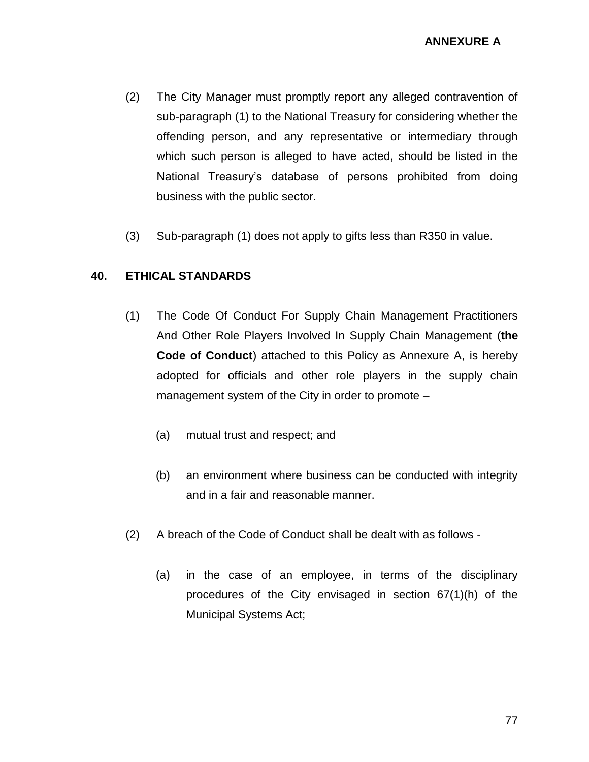- (2) The City Manager must promptly report any alleged contravention of sub-paragraph (1) to the National Treasury for considering whether the offending person, and any representative or intermediary through which such person is alleged to have acted, should be listed in the National Treasury's database of persons prohibited from doing business with the public sector.
- (3) Sub-paragraph (1) does not apply to gifts less than R350 in value.

## **40. ETHICAL STANDARDS**

- (1) The Code Of Conduct For Supply Chain Management Practitioners And Other Role Players Involved In Supply Chain Management (**the Code of Conduct**) attached to this Policy as Annexure A, is hereby adopted for officials and other role players in the supply chain management system of the City in order to promote –
	- (a) mutual trust and respect; and
	- (b) an environment where business can be conducted with integrity and in a fair and reasonable manner.
- (2) A breach of the Code of Conduct shall be dealt with as follows
	- (a) in the case of an employee, in terms of the disciplinary procedures of the City envisaged in section 67(1)(h) of the Municipal Systems Act;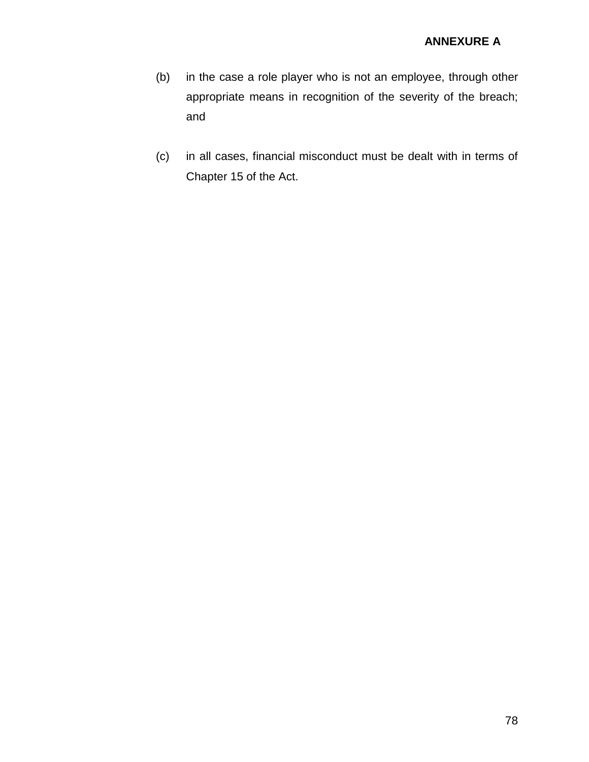- (b) in the case a role player who is not an employee, through other appropriate means in recognition of the severity of the breach; and
- (c) in all cases, financial misconduct must be dealt with in terms of Chapter 15 of the Act.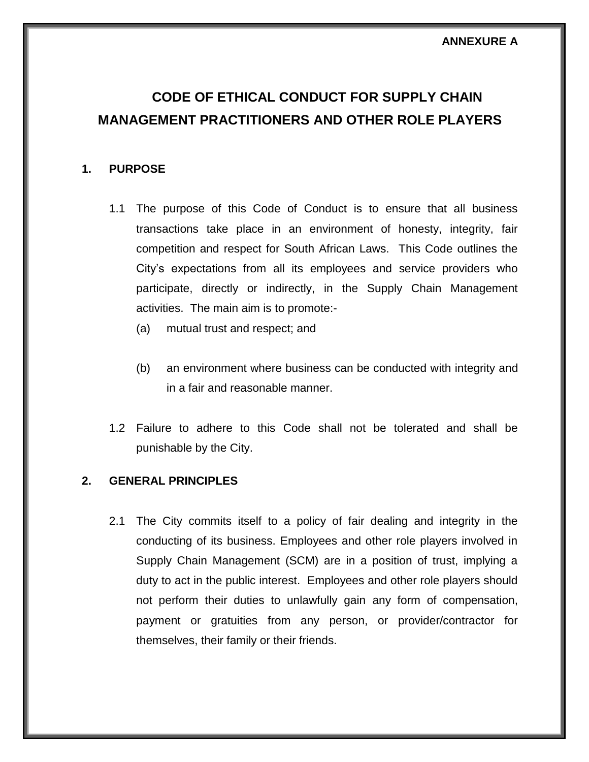# **CODE OF ETHICAL CONDUCT FOR SUPPLY CHAIN MANAGEMENT PRACTITIONERS AND OTHER ROLE PLAYERS**

### **1. PURPOSE**

- 1.1 The purpose of this Code of Conduct is to ensure that all business transactions take place in an environment of honesty, integrity, fair competition and respect for South African Laws. This Code outlines the City's expectations from all its employees and service providers who participate, directly or indirectly, in the Supply Chain Management activities. The main aim is to promote:-
	- (a) mutual trust and respect; and
	- (b) an environment where business can be conducted with integrity and in a fair and reasonable manner.
- 1.2 Failure to adhere to this Code shall not be tolerated and shall be punishable by the City.

#### **2. GENERAL PRINCIPLES**

2.1 The City commits itself to a policy of fair dealing and integrity in the conducting of its business. Employees and other role players involved in Supply Chain Management (SCM) are in a position of trust, implying a duty to act in the public interest. Employees and other role players should not perform their duties to unlawfully gain any form of compensation, payment or gratuities from any person, or provider/contractor for themselves, their family or their friends.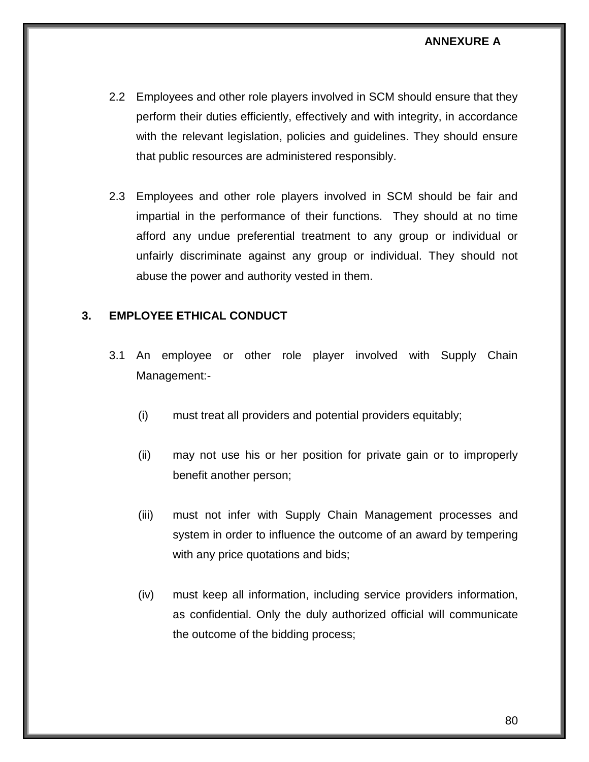- 2.2 Employees and other role players involved in SCM should ensure that they perform their duties efficiently, effectively and with integrity, in accordance with the relevant legislation, policies and guidelines. They should ensure that public resources are administered responsibly.
- 2.3 Employees and other role players involved in SCM should be fair and impartial in the performance of their functions. They should at no time afford any undue preferential treatment to any group or individual or unfairly discriminate against any group or individual. They should not abuse the power and authority vested in them.

#### **3. EMPLOYEE ETHICAL CONDUCT**

- 3.1 An employee or other role player involved with Supply Chain Management:-
	- (i) must treat all providers and potential providers equitably;
	- (ii) may not use his or her position for private gain or to improperly benefit another person;
	- (iii) must not infer with Supply Chain Management processes and system in order to influence the outcome of an award by tempering with any price quotations and bids;
	- (iv) must keep all information, including service providers information, as confidential. Only the duly authorized official will communicate the outcome of the bidding process;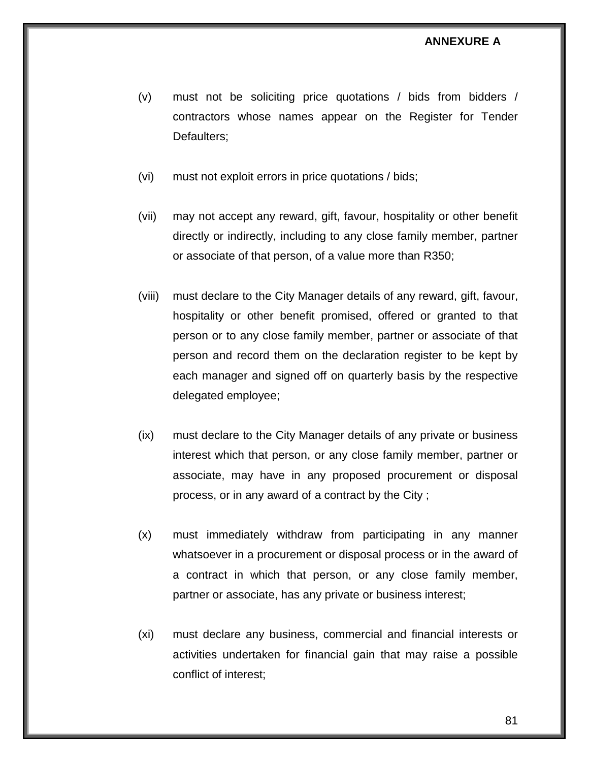- (v) must not be soliciting price quotations / bids from bidders / contractors whose names appear on the Register for Tender Defaulters;
- (vi) must not exploit errors in price quotations / bids;
- (vii) may not accept any reward, gift, favour, hospitality or other benefit directly or indirectly, including to any close family member, partner or associate of that person, of a value more than R350;
- (viii) must declare to the City Manager details of any reward, gift, favour, hospitality or other benefit promised, offered or granted to that person or to any close family member, partner or associate of that person and record them on the declaration register to be kept by each manager and signed off on quarterly basis by the respective delegated employee;
- (ix) must declare to the City Manager details of any private or business interest which that person, or any close family member, partner or associate, may have in any proposed procurement or disposal process, or in any award of a contract by the City ;
- (x) must immediately withdraw from participating in any manner whatsoever in a procurement or disposal process or in the award of a contract in which that person, or any close family member, partner or associate, has any private or business interest;
- (xi) must declare any business, commercial and financial interests or activities undertaken for financial gain that may raise a possible conflict of interest;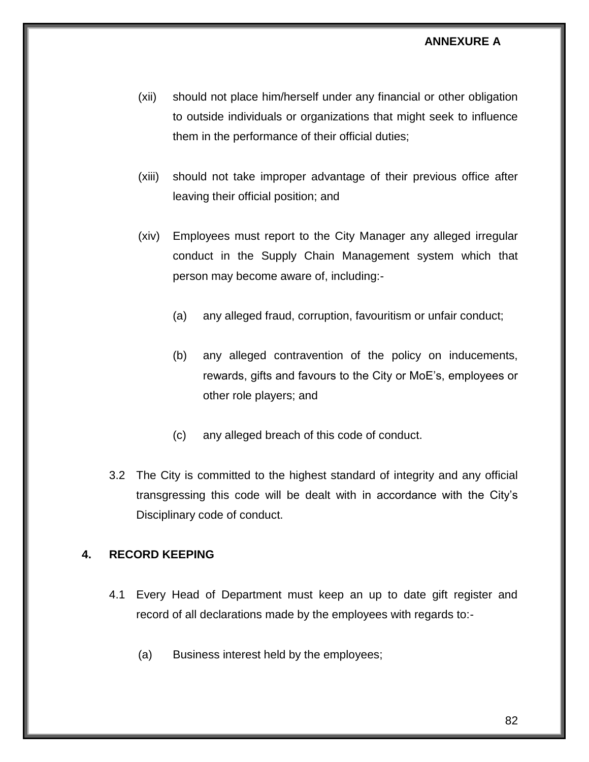- (xii) should not place him/herself under any financial or other obligation to outside individuals or organizations that might seek to influence them in the performance of their official duties;
- (xiii) should not take improper advantage of their previous office after leaving their official position; and
- (xiv) Employees must report to the City Manager any alleged irregular conduct in the Supply Chain Management system which that person may become aware of, including:-
	- (a) any alleged fraud, corruption, favouritism or unfair conduct;
	- (b) any alleged contravention of the policy on inducements, rewards, gifts and favours to the City or MoE's, employees or other role players; and
	- (c) any alleged breach of this code of conduct.
- 3.2 The City is committed to the highest standard of integrity and any official transgressing this code will be dealt with in accordance with the City's Disciplinary code of conduct.

## **4. RECORD KEEPING**

- 4.1 Every Head of Department must keep an up to date gift register and record of all declarations made by the employees with regards to:-
	- (a) Business interest held by the employees;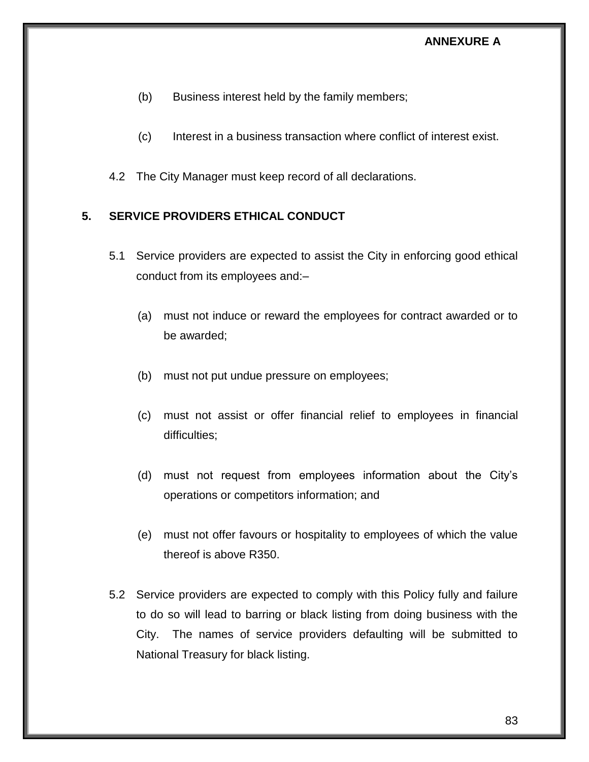- (b) Business interest held by the family members;
- (c) Interest in a business transaction where conflict of interest exist.
- 4.2 The City Manager must keep record of all declarations.

# **5. SERVICE PROVIDERS ETHICAL CONDUCT**

- 5.1 Service providers are expected to assist the City in enforcing good ethical conduct from its employees and:–
	- (a) must not induce or reward the employees for contract awarded or to be awarded;
	- (b) must not put undue pressure on employees;
	- (c) must not assist or offer financial relief to employees in financial difficulties;
	- (d) must not request from employees information about the City's operations or competitors information; and
	- (e) must not offer favours or hospitality to employees of which the value thereof is above R350.
- 5.2 Service providers are expected to comply with this Policy fully and failure to do so will lead to barring or black listing from doing business with the City. The names of service providers defaulting will be submitted to National Treasury for black listing.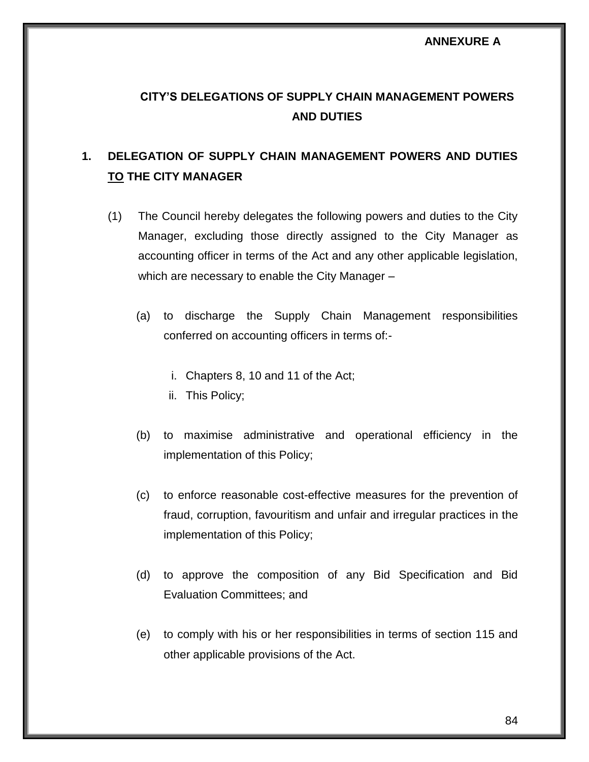# **CITY'S DELEGATIONS OF SUPPLY CHAIN MANAGEMENT POWERS AND DUTIES**

# **1. DELEGATION OF SUPPLY CHAIN MANAGEMENT POWERS AND DUTIES TO THE CITY MANAGER**

- (1) The Council hereby delegates the following powers and duties to the City Manager, excluding those directly assigned to the City Manager as accounting officer in terms of the Act and any other applicable legislation, which are necessary to enable the City Manager –
	- (a) to discharge the Supply Chain Management responsibilities conferred on accounting officers in terms of:
		- i. Chapters 8, 10 and 11 of the Act;
		- ii. This Policy;
	- (b) to maximise administrative and operational efficiency in the implementation of this Policy;
	- (c) to enforce reasonable cost-effective measures for the prevention of fraud, corruption, favouritism and unfair and irregular practices in the implementation of this Policy;
	- (d) to approve the composition of any Bid Specification and Bid Evaluation Committees; and
	- (e) to comply with his or her responsibilities in terms of section 115 and other applicable provisions of the Act.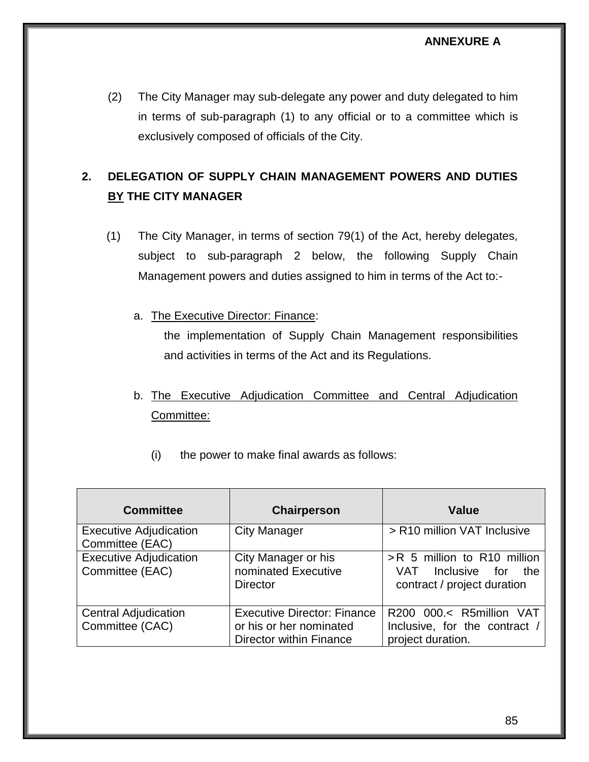(2) The City Manager may sub-delegate any power and duty delegated to him in terms of sub-paragraph (1) to any official or to a committee which is exclusively composed of officials of the City.

# **2. DELEGATION OF SUPPLY CHAIN MANAGEMENT POWERS AND DUTIES BY THE CITY MANAGER**

- (1) The City Manager, in terms of section 79(1) of the Act, hereby delegates, subject to sub-paragraph 2 below, the following Supply Chain Management powers and duties assigned to him in terms of the Act to:
	- a. The Executive Director: Finance:

the implementation of Supply Chain Management responsibilities and activities in terms of the Act and its Regulations.

- b. The Executive Adjudication Committee and Central Adjudication Committee:
	- (i) the power to make final awards as follows:

| <b>Committee</b>                                 | <b>Chairperson</b>                                                                              | <b>Value</b>                                                                              |
|--------------------------------------------------|-------------------------------------------------------------------------------------------------|-------------------------------------------------------------------------------------------|
| <b>Executive Adjudication</b><br>Committee (EAC) | <b>City Manager</b>                                                                             | > R10 million VAT Inclusive                                                               |
| <b>Executive Adjudication</b><br>Committee (EAC) | City Manager or his<br>nominated Executive<br><b>Director</b>                                   | >R 5 million to R10 million<br>VAT<br>Inclusive for<br>the<br>contract / project duration |
| <b>Central Adjudication</b><br>Committee (CAC)   | <b>Executive Director: Finance</b><br>or his or her nominated<br><b>Director within Finance</b> | R200 000.< R5million VAT<br>Inclusive, for the contract /<br>project duration.            |